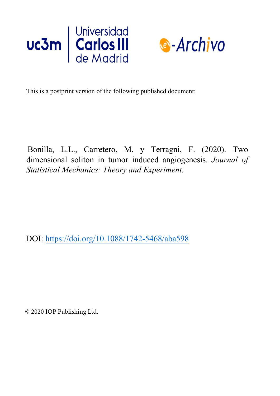



This is a postprint version of the following published document:

Bonilla, L.L., Carretero, M. y Terragni, F. (2020). Two dimensional soliton in tumor induced angiogenesis. *Journal of Statistical Mechanics: Theory and Experiment.*

DOI: https://doi.org/10.1088/1742-5468/aba598

© 2020 IOP Publishing Ltd.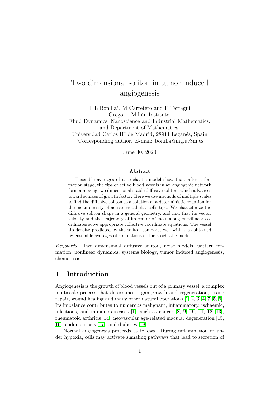# Two dimensional soliton in tumor induced angiogenesis

L L Bonilla<sup>∗</sup> , M Carretero and F Terragni Gregorio Millán Institute,

Fluid Dynamics, Nanoscience and Industrial Mathematics, and Department of Mathematics,

Universidad Carlos III de Madrid, 28911 Leganés, Spain <sup>∗</sup>Corresponding author. E-mail: bonilla@ing.uc3m.es

June 30, 2020

#### Abstract

Ensemble averages of a stochastic model show that, after a formation stage, the tips of active blood vessels in an angiogenic network form a moving two dimensional stable diffusive soliton, which advances toward sources of growth factor. Here we use methods of multiple scales to find the diffusive soliton as a solution of a deterministic equation for the mean density of active endothelial cells tips. We characterize the diffusive soliton shape in a general geometry, and find that its vector velocity and the trajectory of its center of mass along curvilinear coordinates solve appropriate collective coordinate equations. The vessel tip density predicted by the soliton compares well with that obtained by ensemble averages of simulations of the stochastic model.

Keywords: Two dimensional diffusive soliton, noise models, pattern formation, nonlinear dynamics, systems biology, tumor induced angiogenesis, chemotaxis

### 1 Introduction

Angiogenesis is the growth of blood vessels out of a primary vessel, a complex multiscale process that determines organ growth and regeneration, tissue repair, wound healing and many other natural operations [\[1,](#page-30-0) [2,](#page-30-1) [3,](#page-30-2) [4,](#page-30-3) [7,](#page-30-4) [5,](#page-30-5) [6\]](#page-30-6). Its imbalance contributes to numerous malignant, inflammatory, ischaemic, infectious, and immune diseases [\[1\]](#page-30-0), such as cancer [\[8,](#page-30-7) [9,](#page-30-8) [10,](#page-30-9) [11,](#page-30-10) [12,](#page-30-11) [13\]](#page-30-12), rheumatoid arthritis [\[14\]](#page-30-13), neovascular age-related macular degeneration [\[15,](#page-30-14) [16\]](#page-30-15), endometriosis [\[17\]](#page-31-0), and diabetes [\[18\]](#page-31-1).

Normal angiogenesis proceeds as follows. During inflammation or under hypoxia, cells may activate signaling pathways that lead to secretion of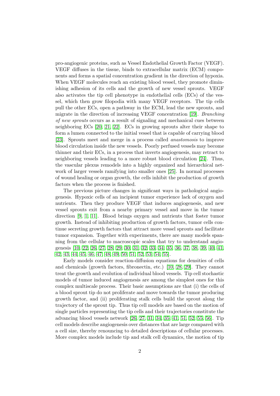pro-angiogenic proteins, such as Vessel Endothelial Growth Factor (VEGF). VEGF diffuses in the tissue, binds to extracellular matrix (ECM) components and forms a spatial concentration gradient in the direction of hypoxia. When VEGF molecules reach an existing blood vessel, they promote diminishing adhesion of its cells and the growth of new vessel sprouts. VEGF also activates the tip cell phenotype in endothelial cells (ECs) of the vessel, which then grow filopodia with many VEGF receptors. The tip cells pull the other ECs, open a pathway in the ECM, lead the new sprouts, and migrate in the direction of increasing VEGF concentration [\[19\]](#page-31-2). Branching of new sprouts occurs as a result of signaling and mechanical cues between neighboring ECs [\[20,](#page-31-3) [21,](#page-31-4) [22\]](#page-31-5). ECs in growing sprouts alter their shape to form a lumen connected to the initial vessel that is capable of carrying blood [\[23\]](#page-31-6). Sprouts meet and merge in a process called anastomosis to improve blood circulation inside the new vessels. Poorly perfused vessels may become thinner and their ECs, in a process that inverts angiogenesis, may retract to neighboring vessels leading to a more robust blood circulation [\[24\]](#page-31-7). Thus, the vascular plexus remodels into a highly organized and hierarchical network of larger vessels ramifying into smaller ones [\[25\]](#page-31-8). In normal processes of wound healing or organ growth, the cells inhibit the production of growth factors when the process is finished.

The previous picture changes in significant ways in pathological angiogenesis. Hypoxic cells of an incipient tumor experience lack of oxygen and nutrients. Then they produce VEGF that induces angiogenesis, and new vessel sprouts exit from a nearby primary vessel and move in the tumor direction [\[9,](#page-30-8) [1,](#page-30-0) [11\]](#page-30-10). Blood brings oxygen and nutrients that foster tumor growth. Instead of inhibiting production of growth factors, tumor cells continue secreting growth factors that attract more vessel sprouts and facilitate tumor expansion. Together with experiments, there are many models spanning from the cellular to macroscopic scales that try to understand angiogenesis [\[10,](#page-30-9) [22,](#page-31-5) [26,](#page-31-9) [27,](#page-31-10) [28,](#page-32-0) [29,](#page-32-1) [30,](#page-32-2) [31,](#page-32-3) [32,](#page-32-4) [33,](#page-32-5) [34,](#page-32-6) [35,](#page-32-7) [36,](#page-32-8) [37,](#page-32-9) [38,](#page-32-10) [39,](#page-32-11) [40,](#page-32-12) [41,](#page-33-0) [42,](#page-33-1) [43,](#page-33-2) [44,](#page-33-3) [45,](#page-33-4) [46,](#page-33-5) [47,](#page-33-6) [48,](#page-33-7) [49,](#page-33-8) [50,](#page-33-9) [51,](#page-33-10) [52,](#page-33-11) [53,](#page-34-0) [54,](#page-34-1) [55\]](#page-34-2).

Early models consider reaction-diffusion equations for densities of cells and chemicals (growth factors, fibronectin, etc.) [\[10,](#page-30-9) [28,](#page-32-0) [29\]](#page-32-1). They cannot treat the growth and evolution of individual blood vessels. Tip cell stochastic models of tumor induced angiogenesis are among the simplest ones for this complex multiscale process. Their basic assumptions are that (i) the cells of a blood sprout tip do not proliferate and move towards the tumor producing growth factor, and (ii) proliferating stalk cells build the sprout along the trajectory of the sprout tip. Thus tip cell models are based on the motion of single particles representing the tip cells and their trajectories constitute the advancing blood vessels network [\[26,](#page-31-9) [27,](#page-31-10) [31,](#page-32-3) [34,](#page-32-6) [35,](#page-32-7) [41,](#page-33-0) [51,](#page-33-10) [52,](#page-33-11) [55,](#page-34-2) [56\]](#page-34-3). Tip cell models describe angiogenesis over distances that are large compared with a cell size, thereby renouncing to detailed descriptions of cellular processes. More complex models include tip and stalk cell dynamics, the motion of tip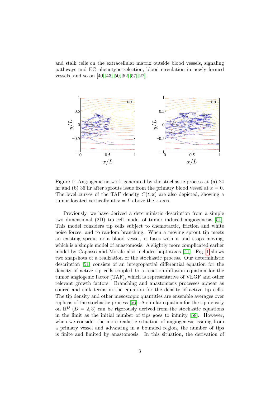and stalk cells on the extracellular matrix outside blood vessels, signaling pathways and EC phenotype selection, blood circulation in newly formed vessels, and so on [\[40,](#page-32-12) [43,](#page-33-2) [50,](#page-33-9) [52,](#page-33-11) [57,](#page-34-4) [22\]](#page-31-5).

<span id="page-3-0"></span>

Figure 1: Angiogenic network generated by the stochastic process at (a) 24 hr and (b) 36 hr after sprouts issue from the primary blood vessel at  $x = 0$ . The level curves of the TAF density  $C(t, x)$  are also depicted, showing a tumor located vertically at  $x = L$  above the x-axis.

Previously, we have derived a deterministic description from a simple two dimensional (2D) tip cell model of tumor induced angiogenesis [\[51\]](#page-33-10). This model considers tip cells subject to chemotactic, friction and white noise forces, and to random branching. When a moving sprout tip meets an existing sprout or a blood vessel, it fuses with it and stops moving, which is a simple model of anastomosis. A slightly more complicated earlier model by Capasso and Morale also includes haptotaxis [\[41\]](#page-33-0). Fig. [1](#page-3-0) shows two snapshots of a realization of the stochastic process. Our deterministic description [\[51\]](#page-33-10) consists of an integropartial differential equation for the density of active tip cells coupled to a reaction-diffusion equation for the tumor angiogenic factor (TAF), which is representative of VEGF and other relevant growth factors. Branching and anastomosis processes appear as source and sink terms in the equation for the density of active tip cells. The tip density and other mesoscopic quantities are ensemble averages over replicas of the stochastic process [\[56\]](#page-34-3). A similar equation for the tip density on  $\mathbb{R}^D$  ( $D = 2, 3$ ) can be rigorously derived from the stochastic equations in the limit as the initial number of tips goes to infinity [\[58\]](#page-34-5). However, when we consider the more realistic situation of angiogenesis issuing from a primary vessel and advancing in a bounded region, the number of tips is finite and limited by anastomosis. In this situation, the derivation of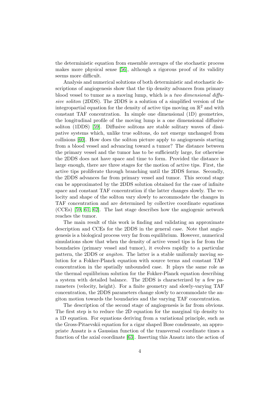the deterministic equation from ensemble averages of the stochastic process makes more physical sense [\[56\]](#page-34-3), although a rigorous proof of its validity seems more difficult.

Analysis and numerical solutions of both deterministic and stochastic descriptions of angiogenesis show that the tip density advances from primary blood vessel to tumor as a moving lump, which is a two dimensional diffusive soliton (2DDS). The 2DDS is a solution of a simplified version of the integropartial equation for the density of active tips moving on  $\mathbb{R}^2$  and with constant TAF concentration. In simple one dimensional (1D) geometries, the longitudinal profile of the moving lump is a one dimensional diffusive soliton (1DDS) [\[59\]](#page-34-6). Diffusive solitons are stable solitary waves of dissipative systems which, unlike true solitons, do not emerge unchanged from collisions [\[60\]](#page-34-7). How does the soliton picture apply to angiogenesis starting from a blood vessel and advancing toward a tumor? The distance between the primary vessel and the tumor has to be sufficiently large, for otherwise the 2DDS does not have space and time to form. Provided the distance is large enough, there are three stages for the motion of active tips. First, the active tips proliferate through branching until the 2DDS forms. Secondly, the 2DDS advances far from primary vessel and tumor. This second stage can be approximated by the 2DDS solution obtained for the case of infinite space and constant TAF concentration if the latter changes slowly. The velocity and shape of the soliton vary slowly to accommodate the changes in TAF concentration and are determined by collective coordinate equations (CCEs) [\[59,](#page-34-6) [61,](#page-34-8) [62\]](#page-34-9). The last stage describes how the angiogenic network reaches the tumor.

The main result of this work is finding and validating an approximate description and CCEs for the 2DDS in the general case. Note that angiogenesis is a biological process very far from equilibrium. However, numerical simulations show that when the density of active vessel tips is far from the boundaries (primary vessel and tumor), it evolves rapidly to a particular pattern, the 2DDS or angiton. The latter is a stable uniformly moving solution for a Fokker-Planck equation with source terms and constant TAF concentration in the spatially unbounded case. It plays the same role as the thermal equilibrium solution for the Fokker-Planck equation describing a system with detailed balance. The 2DDS is characterized by a few parameters (velocity, height). For a finite geometry and slowly-varying TAF concentration, the 2DDS parameters change slowly to accommodate the angiton motion towards the boundaries and the varying TAF concentration.

The description of the second stage of angiogenesis is far from obvious. The first step is to reduce the 2D equation for the marginal tip density to a 1D equation. For equations deriving from a variational principle, such as the Gross-Pitaevskii equation for a cigar shaped Bose condensate, an appropriate Ansatz is a Gaussian function of the transversal coordinate times a function of the axial coordinate [\[63\]](#page-34-10). Inserting this Ansatz into the action of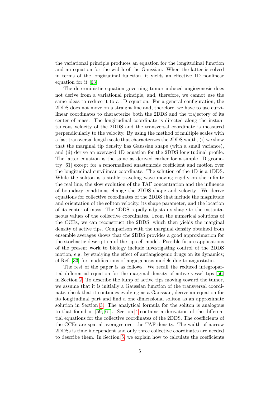the variational principle produces an equation for the longitudinal function and an equation for the width of the Gaussian. When the latter is solved in terms of the longitudinal function, it yields an effective 1D nonlinear equation for it [\[63\]](#page-34-10).

The deterministic equation governing tumor induced angiogenesis does not derive from a variational principle, and, therefore, we cannot use the same ideas to reduce it to a 1D equation. For a general configuration, the 2DDS does not move on a straight line and, therefore, we have to use curvilinear coordinates to characterize both the 2DDS and the trajectory of its center of mass. The longitudinal coordinate is directed along the instantaneous velocity of the 2DDS and the transversal coordinate is measured perpendicularly to the velocity. By using the method of multiple scales with a fast transversal length scale that characterizes the 2DDS width, (i) we show that the marginal tip density has Gaussian shape (with a small variance), and (ii) derive an averaged 1D equation for the 2DDS longitudinal profile. The latter equation is the same as derived earlier for a simple 1D geometry [\[61\]](#page-34-8) except for a renormalized anastomosis coefficient and motion over the longitudinal curvilinear coordinate. The solution of the 1D is a 1DDS. While the soliton is a stable traveling wave moving rigidly on the infinite the real line, the slow evolution of the TAF concentration and the influence of boundary conditions change the 2DDS shape and velocity. We derive equations for collective coordinates of the 2DDS that include the magnitude and orientation of the soliton velocity, its shape parameter, and the location of its center of mass. The 2DDS rapidly adjusts its shape to the instantaneous values of the collective coordinates. From the numerical solutions of the CCEs, we can reconstruct the 2DDS, which then yields the marginal density of active tips. Comparison with the marginal density obtained from ensemble averages shows that the 2DDS provides a good approximation for the stochastic description of the tip cell model. Possible future applications of the present work to biology include investigating control of the 2DDS motion, e.g. by studying the effect of antiangiogenic drugs on its dynamics; cf Ref. [\[33\]](#page-32-5) for modifications of angiogenesis models due to angiostatin.

The rest of the paper is as follows. We recall the reduced integropartial differential equation for the marginal density of active vessel tips [\[56\]](#page-34-3) in Section [2.](#page-6-0) To describe the lump of active tips moving toward the tumor, we assume that it is initially a Gaussian function of the transversal coordinate, check that it continues evolving as a Gaussian, derive an equation for its longitudinal part and find a one dimensional soliton as an approximate solution in Section [3.](#page-10-0) The analytical formula for the soliton is analogous to that found in [\[59,](#page-34-6) [61\]](#page-34-8). Section [4](#page-14-0) contains a derivation of the differential equations for the collective coordinates of the 2DDS. The coefficients of the CCEs are spatial averages over the TAF density. The width of narrow 2DDSs is time independent and only three collective coordinates are needed to describe them. In Section [5,](#page-17-0) we explain how to calculate the coefficients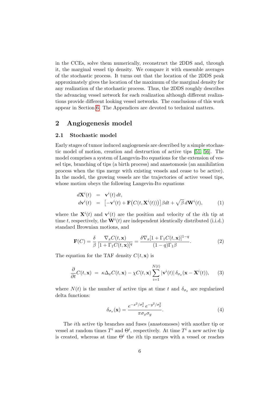in the CCEs, solve them numerically, reconstruct the 2DDS and, through it, the marginal vessel tip density. We compare it with ensemble averages of the stochastic process. It turns out that the location of the 2DDS peak approximately gives the location of the maximum of the marginal density for any realization of the stochastic process. Thus, the 2DDS roughly describes the advancing vessel network for each realization although different realizations provide different looking vessel networks. The conclusions of this work appear in Section [6.](#page-23-0) The Appendices are devoted to technical matters.

# <span id="page-6-0"></span>2 Angiogenesis model

#### 2.1 Stochastic model

Early stages of tumor induced angiogenesis are described by a simple stochastic model of motion, creation and destruction of active tips [\[51,](#page-33-10) [56\]](#page-34-3). The model comprises a system of Langevin-Ito equations for the extension of vessel tips, branching of tips (a birth process) and anastomosis (an annihilation process when the tips merge with existing vessels and cease to be active). In the model, the growing vessels are the trajectories of active vessel tips, whose motion obeys the following Langevin-Ito equations

<span id="page-6-2"></span>
$$
d\mathbf{X}^{i}(t) = \mathbf{v}^{i}(t) dt, \nd\mathbf{v}^{i}(t) = [-\mathbf{v}^{i}(t) + \mathbf{F}(C(t, \mathbf{X}^{i}(t)))]\beta dt + \sqrt{\beta} d\mathbf{W}^{i}(t),
$$
\n(1)

where the  $\mathbf{X}^{i}(t)$  and  $\mathbf{v}^{i}(t)$  are the position and velocity of the *i*th tip at time t, respectively, the  $\mathbf{W}^{i}(t)$  are independent identically distributed (i.i.d.) standard Brownian motions, and

$$
\mathbf{F}(C) = \frac{\delta}{\beta} \frac{\nabla_x C(t, \mathbf{x})}{[1 + \Gamma_1 C(t, \mathbf{x})]^q} = \frac{\delta \nabla_x [1 + \Gamma_1 C(t, \mathbf{x})]^{1-q}}{(1 - q) \Gamma_1 \beta}.
$$
 (2)

The equation for the TAF density  $C(t, \mathbf{x})$  is

<span id="page-6-3"></span>
$$
\frac{\partial}{\partial t}C(t, \mathbf{x}) = \kappa \Delta_x C(t, \mathbf{x}) - \chi C(t, \mathbf{x}) \sum_{i=1}^{N(t)} |\mathbf{v}^i(t)| \delta_{\sigma_x}(\mathbf{x} - \mathbf{X}^i(t)), \quad (3)
$$

where  $N(t)$  is the number of active tips at time t and  $\delta_{\sigma_x}$  are regularized delta functions:

<span id="page-6-1"></span>
$$
\delta_{\sigma_x}(\mathbf{x}) = \frac{e^{-x^2/\sigma_x^2} e^{-y^2/\sigma_y^2}}{\pi \sigma_x \sigma_y}.
$$
\n(4)

The ith active tip branches and fuses (anastomoses) with another tip or vessel at random times  $T^i$  and  $\Theta^i$ , respectively. At time  $T^i$  a new active tip is created, whereas at time  $\Theta^i$  the *i*th tip merges with a vessel or reaches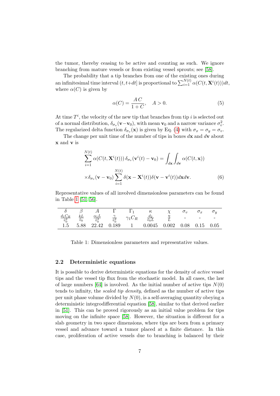the tumor, thereby ceasing to be active and counting as such. We ignore branching from mature vessels or from existing vessel sprouts; see [\[58\]](#page-34-5).

The probability that a tip branches from one of the existing ones during an infinitesimal time interval  $(t, t+dt]$  is proportional to  $\sum_{i=1}^{N(t)} \alpha(C(t, \mathbf{X}^i(t)))dt$ , where  $\alpha(C)$  is given by

$$
\alpha(C) = \frac{AC}{1+C}, \quad A > 0.
$$
\n<sup>(5)</sup>

At time  $T^i$ , the velocity of the new tip that branches from tip i is selected out of a normal distribution,  $\delta_{\sigma_v}(\mathbf{v}-\mathbf{v}_0)$ , with mean  $\mathbf{v}_0$  and a narrow variance  $\sigma_v^2$ . The regularized delta function  $\delta_{\sigma_v}(\mathbf{x})$  is given by Eq. [\(4\)](#page-6-1) with  $\sigma_x = \sigma_y = \sigma_v$ .

The change per unit time of the number of tips in boxes  $d\mathbf{x}$  and  $d\mathbf{v}$  about x and v is

<span id="page-7-1"></span>
$$
\sum_{i=1}^{N(t)} \alpha(C(t, \mathbf{X}^i(t))) \delta_{\sigma_v}(\mathbf{v}^i(t) - \mathbf{v}_0) = \int_{d\mathbf{x}} \int_{d\mathbf{v}} \alpha(C(t, \mathbf{x}))
$$

$$
\times \delta_{\sigma_v}(\mathbf{v} - \mathbf{v}_0) \sum_{i=1}^{N(t)} \delta(\mathbf{x} - \mathbf{X}^i(t)) \delta(\mathbf{v} - \mathbf{v}^i(t)) d\mathbf{x} d\mathbf{v}.
$$
(6)

Representative values of all involved dimensionless parameters can be found in Table [1](#page-7-0) [\[51,](#page-33-10) [56\]](#page-34-3).

<span id="page-7-0"></span>

|                                |                          |                                    |                           |                                        |                                       | $\sigma_v$               | $\sigma_x$ | $\sigma_u$               |
|--------------------------------|--------------------------|------------------------------------|---------------------------|----------------------------------------|---------------------------------------|--------------------------|------------|--------------------------|
| $\frac{d_1 C_R}{\tilde v_0^2}$ | $\frac{kL}{\tilde{v}_0}$ | $\frac{\alpha_1 L}{\tilde{v}_0^3}$ | $\frac{1}{\tilde{v}_0^2}$ | $\gamma_1 C_R$                         | $rac{d_2}{\tilde{v}_0 L}$             | $\overline{\phantom{0}}$ |            | $\overline{\phantom{0}}$ |
| $1.5\,$                        | 5.88                     | 22.42                              | 0.189                     | $\begin{array}{ccc} & 1 & \end{array}$ | $0.0045$ $0.002$ $0.08$ $0.15$ $0.05$ |                          |            |                          |

Table 1: Dimensionless parameters and representative values.

#### 2.2 Deterministic equations

It is possible to derive deterministic equations for the density of active vessel tips and the vessel tip flux from the stochastic model. In all cases, the law of large numbers [\[64\]](#page-34-11) is involved. As the initial number of active tips  $N(0)$ tends to infinity, the scaled tip density, defined as the number of active tips per unit phase volume divided by  $N(0)$ , is a self-averaging quantity obeying a deterministic integrodifferential equation [\[58\]](#page-34-5), similar to that derived earlier in [\[51\]](#page-33-10). This can be proved rigorously as an initial value problem for tips moving on the infinite space [\[58\]](#page-34-5). However, the situation is different for a slab geometry in two space dimensions, where tips are born from a primary vessel and advance toward a tumor placed at a finite distance. In this case, proliferation of active vessels due to branching is balanced by their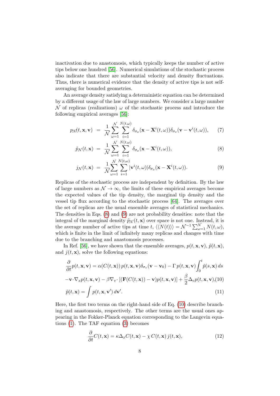inactivation due to anastomosis, which typically keeps the number of active tips below one hundred [\[56\]](#page-34-3). Numerical simulations of the stochastic process also indicate that there are substantial velocity and density fluctuations. Thus, there is numerical evidence that the density of active tips is not selfaveraging for bounded geometries.

An average density satisfying a deterministic equation can be determined by a different usage of the law of large numbers. We consider a large number  $\mathcal N$  of replicas (realizations)  $\omega$  of the stochastic process and introduce the following empirical averages [\[56\]](#page-34-3):

<span id="page-8-0"></span>
$$
p_{\mathcal{N}}(t, \mathbf{x}, \mathbf{v}) = \frac{1}{\mathcal{N}} \sum_{\omega=1}^{\mathcal{N}} \sum_{i=1}^{N(t, \omega)} \delta_{\sigma_x}(\mathbf{x} - \mathbf{X}^i(t, \omega)) \delta_{\sigma_v}(\mathbf{v} - \mathbf{v}^i(t, \omega)), \quad (7)
$$

$$
\tilde{p}_{\mathcal{N}}(t,\mathbf{x}) = \frac{1}{\mathcal{N}} \sum_{\omega=1}^{\mathcal{N}} \sum_{i=1}^{N(t,\omega)} \delta_{\sigma_x}(\mathbf{x} - \mathbf{X}^i(t,\omega)), \tag{8}
$$

$$
j_{\mathcal{N}}(t,\mathbf{x}) = \frac{1}{\mathcal{N}} \sum_{\omega=1}^{\mathcal{N}} \sum_{i=1}^{N(t,\omega)} |\mathbf{v}^{i}(t,\omega)| \delta_{\sigma_x}(\mathbf{x} - \mathbf{X}^{i}(t,\omega)). \tag{9}
$$

Replicas of the stochastic process are independent by definition. By the law of large numbers as  $\mathcal{N} \to \infty$ , the limits of these empirical averages become the expected values of the tip density, the marginal tip density and the vessel tip flux according to the stochastic process [\[64\]](#page-34-11). The averages over the set of replicas are the usual ensemble averages of statistical mechanics. The densities in Eqs. [\(8\)](#page-8-0) and [\(9\)](#page-8-0) are not probability densities: note that the integral of the marginal density  $\tilde{p}_{\mathcal{N}}(t, \mathbf{x})$  over space is not one. Instead, it is the average number of active tips at time t,  $\langle\langle N(t)\rangle\rangle = \mathcal{N}^{-1} \sum_{\omega=1}^{N} N(t, \omega),$ which is finite in the limit of infinitely many replicas and changes with time due to the branching and anastomosis processes.

In Ref. [\[56\]](#page-34-3), we have shown that the ensemble averages,  $p(t, \mathbf{x}, \mathbf{v})$ ,  $\tilde{p}(t, \mathbf{x})$ , and  $j(t, \mathbf{x})$ , solve the following equations:

<span id="page-8-1"></span>
$$
\frac{\partial}{\partial t}p(t, \mathbf{x}, \mathbf{v}) = \alpha(C(t, \mathbf{x}))p(t, \mathbf{x}, \mathbf{v})\delta_{\sigma_v}(\mathbf{v} - \mathbf{v}_0) - \Gamma p(t, \mathbf{x}, \mathbf{v}) \int_0^t \tilde{p}(s, \mathbf{x}) ds \n-\mathbf{v} \cdot \nabla_x p(t, \mathbf{x}, \mathbf{v}) - \beta \nabla_v \cdot [(\mathbf{F}(C(t, \mathbf{x})) - \mathbf{v})p(t, \mathbf{x}, \mathbf{v})] + \frac{\beta}{2} \Delta_v p(t, \mathbf{x}, \mathbf{v})
$$
\n
$$
\tilde{p}(t, \mathbf{x}) = \int p(t, \mathbf{x}, \mathbf{v}') d\mathbf{v}'. \tag{11}
$$

Here, the first two terms on the right-hand side of Eq. [\(10\)](#page-8-1) describe branching and anastomosis, respectively. The other terms are the usual ones appearing in the Fokker-Planck equation corresponding to the Langevin equations [\(1\)](#page-6-2). The TAF equation [\(3\)](#page-6-3) becomes

<span id="page-8-2"></span>
$$
\frac{\partial}{\partial t}C(t, \mathbf{x}) = \kappa \Delta_x C(t, \mathbf{x}) - \chi C(t, \mathbf{x}) j(t, \mathbf{x}),\tag{12}
$$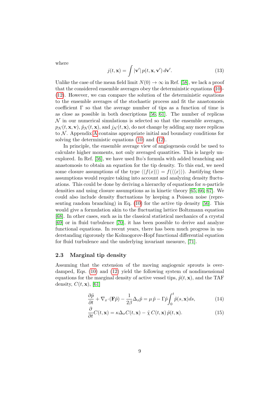where

<span id="page-9-1"></span>
$$
j(t, \mathbf{x}) = \int |\mathbf{v}'| \, p(t, \mathbf{x}, \mathbf{v}') \, d\mathbf{v}'. \tag{13}
$$

Unlike the case of the mean field limit  $N(0) \rightarrow \infty$  in Ref. [\[58\]](#page-34-5), we lack a proof that the considered ensemble averages obey the deterministic equations [\(10\)](#page-8-1)- [\(12\)](#page-8-2). However, we can compare the solution of the deterministic equations to the ensemble averages of the stochastic process and fit the anastomosis coefficient  $\Gamma$  so that the average number of tips as a function of time is as close as possible in both descriptions [\[56,](#page-34-3) [61\]](#page-34-8). The number of replicas  $\mathcal N$  in our numerical simulations is selected so that the ensemble averages,  $p_N(t, \mathbf{x}, \mathbf{v}), \tilde{p}_N(t, \mathbf{x})$ , and  $j_N(t, \mathbf{x})$ , do not change by adding any more replicas to  $N$ . [A](#page-27-0)ppendix A contains appropriate initial and boundary conditions for solving the deterministic equations [\(10\)](#page-8-1) and [\(12\)](#page-8-2).

In principle, the ensemble average view of angiogenesis could be used to calculate higher moments, not only averaged quantities. This is largely unexplored. In Ref. [\[56\]](#page-34-3), we have used Ito's formula with added branching and anastomosis to obtain an equation for the tip density. To this end, we need some closure assumptions of the type  $\langle \langle f(x) \rangle \rangle = f(\langle \langle x \rangle \rangle)$ . Justifying these assumptions would require taking into account and analyzing density fluctuations. This could be done by deriving a hierarchy of equations for n-particle densities and using closure assumptions as in kinetic theory [\[65,](#page-34-12) [66,](#page-35-0) [67\]](#page-35-1). We could also include density fluctuations by keeping a Poisson noise (representing random branching) in Eq. [\(10\)](#page-8-1) for the active tip density [\[56\]](#page-34-3). This would give a formulation akin to the fluctuating lattice Boltzmann equation [\[68\]](#page-35-2). In other cases, such as in the classical statistical mechanics of a crystal [\[69\]](#page-35-3) or in fluid turbulence [\[70\]](#page-35-4), it has been possible to derive and analyze functional equations. In recent years, there has been much progress in understanding rigorously the Kolmogorov-Hopf functional differential equation for fluid turbulence and the underlying invariant measure, [\[71\]](#page-35-5).

#### 2.3 Marginal tip density

Assuming that the extension of the moving angiogenic sprouts is overdamped, Eqs. [\(10\)](#page-8-1) and [\(12\)](#page-8-2) yield the following system of nondimensional equations for the marginal density of active vessel tips,  $\tilde{p}(t, \mathbf{x})$ , and the TAF density,  $C(t, \mathbf{x})$ , [\[61\]](#page-34-8)

<span id="page-9-0"></span>
$$
\frac{\partial \tilde{p}}{\partial t} + \nabla_x \cdot (\mathbf{F}\tilde{p}) - \frac{1}{2\beta} \Delta_x \tilde{p} = \mu \tilde{p} - \Gamma \tilde{p} \int_0^t \tilde{p}(s, \mathbf{x}) ds, \tag{14}
$$

$$
\frac{\partial}{\partial t}C(t, \mathbf{x}) = \kappa \Delta_x C(t, \mathbf{x}) - \tilde{\chi} C(t, \mathbf{x}) \tilde{p}(t, \mathbf{x}).
$$
\n(15)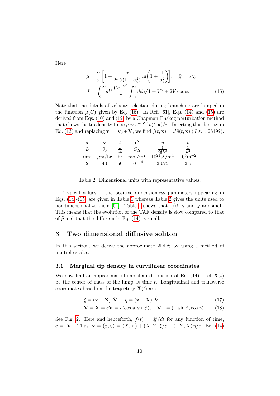Here

<span id="page-10-1"></span>
$$
\mu = \frac{\alpha}{\pi} \left[ 1 + \frac{\alpha}{2\pi\beta(1 + \sigma_v^2)} \ln\left(1 + \frac{1}{\sigma_v^2}\right) \right], \quad \tilde{\chi} = J\chi,
$$
  

$$
J = \int_0^\infty dV \frac{Ve^{-V^2}}{\pi} \int_{-\pi}^\pi d\phi \sqrt{1 + V^2 + 2V \cos\phi}.
$$
 (16)

Note that the details of velocity selection during branching are lumped in the function  $\mu(C)$  given by Eq. [\(16\)](#page-10-1). In Ref. [\[61\]](#page-34-8), Eqs. [\(14\)](#page-9-0) and [\(15\)](#page-9-0) are derived from Eqs. [\(10\)](#page-8-1) and [\(12\)](#page-8-2) by a Chapman-Enskog perturbation method that shows the tip density to be  $p \sim e^{-|\mathbf{V}|^2} \tilde{p}(t, \mathbf{x})/\pi$ . Inserting this density in Eq. [\(13\)](#page-9-1) and replacing  $\mathbf{v}' = \mathbf{v}_0 + \mathbf{V}$ , we find  $j(t, \mathbf{x}) = J\tilde{p}(t, \mathbf{x})$  ( $J \approx 1.28192$ ).

<span id="page-10-2"></span>

| x  |               |                       |                                  |                                                                 | $\tilde{\phantom{a}}$ |
|----|---------------|-----------------------|----------------------------------|-----------------------------------------------------------------|-----------------------|
|    | $\tilde{v}_0$ | $rac{L}{\tilde{v}_0}$ | $C_{R}$                          |                                                                 |                       |
| mm |               |                       | $\mu$ m/hr hr mol/m <sup>2</sup> | $10^{21}$ s <sup>2</sup> /m <sup>4</sup> $10^5$ m <sup>-2</sup> |                       |
|    | 40            | 50.                   | $10^{-16}$                       | 2.025                                                           | $2.5\,$               |

Table 2: Dimensional units with representative values.

Typical values of the positive dimensionless parameters appearing in Eqs. [\(14\)](#page-9-0)-[\(15\)](#page-9-0) are given in Table [1](#page-7-0) whereas Table [2](#page-10-2) gives the units used to nondimensionalize them [\[51\]](#page-33-10). Table [1](#page-7-0) shows that  $1/\beta$ ,  $\kappa$  and  $\chi$  are small. This means that the evolution of the TAF density is slow compared to that of  $\tilde{p}$  and that the diffusion in Eq. [\(14\)](#page-9-0) is small.

# <span id="page-10-0"></span>3 Two dimensional diffusive soliton

In this section, we derive the approximate 2DDS by using a method of multiple scales.

#### 3.1 Marginal tip density in curvilinear coordinates

We now find an approximate lump-shaped solution of Eq. [\(14\)](#page-9-0). Let  $\mathbf{X}(t)$ be the center of mass of the lump at time  $t$ . Longitudinal and transverse coordinates based on the trajectory  $\mathbf{X}(t)$  are

$$
\xi = (\mathbf{x} - \mathbf{X}) \cdot \hat{\mathbf{V}}, \quad \eta = (\mathbf{x} - \mathbf{X}) \cdot \hat{\mathbf{V}}^{\perp}, \tag{17}
$$

$$
\mathbf{V} = \dot{\mathbf{X}} = c\hat{\mathbf{V}} = c(\cos\phi, \sin\phi), \quad \hat{\mathbf{V}}^{\perp} = (-\sin\phi, \cos\phi). \quad (18)
$$

See Fig. [2.](#page-11-0) Here and henceforth,  $\dot{f}(t) = df/dt$  for any function of time,  $c = |\mathbf{V}|$ . Thus,  $\mathbf{x} = (x, y) = (X, Y) + (\dot{X}, \dot{Y})\xi/c + (-\dot{Y}, \dot{X})\eta/c$ . Eq. [\(14\)](#page-9-0)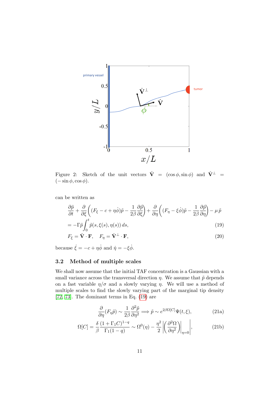<span id="page-11-0"></span>

Figure 2: Sketch of the unit vectors  $\hat{\mathbf{V}} = (\cos \phi, \sin \phi)$  and  $\hat{\mathbf{V}}^{\perp} =$  $(-\sin \phi, \cos \phi).$ 

can be written as

<span id="page-11-1"></span>
$$
\frac{\partial \tilde{p}}{\partial t} + \frac{\partial}{\partial \xi} \left( (F_{\xi} - c + \eta \dot{\phi}) \tilde{p} - \frac{1}{2\beta} \frac{\partial \tilde{p}}{\partial \xi} \right) + \frac{\partial}{\partial \eta} \left( (F_{\eta} - \xi \dot{\phi}) \tilde{p} - \frac{1}{2\beta} \frac{\partial \tilde{p}}{\partial \eta} \right) - \mu \tilde{p}
$$
  
=  $\Gamma \tilde{\phi} \int_{-\infty}^{\xi} \tilde{\phi}(\phi, \xi(\phi), \eta(\phi)) d\phi$  (10)

$$
= -\Gamma \tilde{p} \int_0^{\cdot} \tilde{p}(s, \xi(s), \eta(s)) ds,
$$
\n(19)

$$
F_{\xi} = \hat{\mathbf{V}} \cdot \mathbf{F}, \quad F_{\eta} = \hat{\mathbf{V}}^{\perp} \cdot \mathbf{F}, \tag{20}
$$

because  $\dot{\xi} = -c + \eta \dot{\phi}$  and  $\dot{\eta} = -\xi \dot{\phi}$ .

# 3.2 Method of multiple scales

We shall now assume that the initial TAF concentration is a Gaussian with a small variance across the transversal direction  $\eta$ . We assume that  $\tilde{p}$  depends on a fast variable  $\eta/\sigma$  and a slowly varying  $\eta$ . We will use a method of multiple scales to find the slowly varying part of the marginal tip density [\[72,](#page-35-6) [73\]](#page-35-7). The dominant terms in Eq. [\(19\)](#page-11-1) are

$$
\frac{\partial}{\partial \eta}(F_{\eta}\tilde{p}) \sim \frac{1}{2\beta} \frac{\partial^2 \tilde{p}}{\partial \eta^2} \Longrightarrow \tilde{p} \sim e^{2\beta \Omega[C]} \Psi(t,\xi),\tag{21a}
$$

$$
\Omega[C] = \frac{\delta}{\beta} \frac{(1 + \Gamma_1 C)^{1-q}}{\Gamma_1 (1-q)} \sim \Omega^0(\eta) - \frac{\eta^2}{2} \left| \left( \frac{\partial^2 \Omega}{\partial \eta^2} \right) \right|_{\eta=0} \Big|,\tag{21b}
$$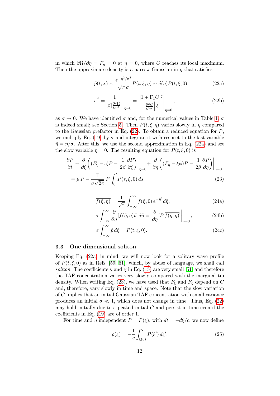in which  $\partial\Omega/\partial\eta = F_{\eta} = 0$  at  $\eta = 0$ , where C reaches its local maximum. Then the approximate density is a narrow Gaussian in  $\eta$  that satisfies

<span id="page-12-1"></span><span id="page-12-0"></span>
$$
\tilde{p}(t, \mathbf{x}) \sim \frac{e^{-\eta^2/\sigma^2}}{\sqrt{\pi} \sigma} P(t, \xi, \eta) \sim \delta(\eta) P(t, \xi, 0),\tag{22a}
$$

$$
\sigma^2 = \frac{1}{\beta \left| \frac{\partial^2 \Omega}{\partial \eta^2} \right|_{\eta=0}} = \frac{\left[1 + \Gamma_1 C\right]^q}{\left|\frac{\partial^2 C}{\partial \eta^2} \right| \delta},\tag{22b}
$$

as  $\sigma \to 0$ . We have identified  $\sigma$  and, for the numerical values in Table [1,](#page-7-0)  $\sigma$ is indeed small; see Section [5.](#page-17-0) Then  $P(t, \xi, \eta)$  varies slowly in  $\eta$  compared to the Gaussian prefactor in Eq.  $(22)$ . To obtain a reduced equation for  $P$ , we multiply Eq. [\(19\)](#page-11-1) by  $\sigma$  and integrate it with respect to the fast variable  $\tilde{\eta} = \eta/\sigma$ . After this, we use the second approximation in Eq. [\(22a\)](#page-12-1) and set the slow variable  $\eta = 0$ . The resulting equation for  $P(t, \xi, 0)$  is

<span id="page-12-2"></span>
$$
\frac{\partial P}{\partial t} + \frac{\partial}{\partial \xi} \left( (\overline{F_{\xi}} - c) P - \frac{1}{2\beta} \frac{\partial P}{\partial \xi} \right) \Big|_{\eta=0} + \frac{\partial}{\partial \eta} \left( (\overline{F_{\eta}} - \xi \dot{\phi}) P - \frac{1}{2\beta} \frac{\partial P}{\partial \eta} \right) \Big|_{\eta=0}
$$

$$
= \overline{\mu} P - \frac{\Gamma}{\sigma \sqrt{2\pi}} P \int_0^t P(s, \xi, 0) \, ds,
$$
(23)

$$
\overline{f(\tilde{\eta}, \eta)} = \frac{1}{\sqrt{\pi}} \int_{-\infty}^{\infty} f(\tilde{\eta}, 0) e^{-\tilde{\eta}^2} d\tilde{\eta}, \qquad (24a)
$$

$$
\sigma \int_{-\infty}^{\infty} \frac{\partial}{\partial \eta} [f(\tilde{\eta}, \eta) \tilde{p}] d\tilde{\eta} = \frac{\partial}{\partial \eta} [P \overline{f(\tilde{\eta}, \eta)}] \Big|_{\eta=0}, \qquad (24b)
$$

$$
\sigma \int_{-\infty}^{\infty} \tilde{p} d\tilde{\eta} = P(t, \xi, 0). \tag{24c}
$$

#### 3.3 One dimensional soliton

0

Keeping Eq. [\(22a\)](#page-12-1) in mind, we will now look for a solitary wave profile of  $P(t, \xi, 0)$  as in Refs. [\[59,](#page-34-6) [61\]](#page-34-8), which, by abuse of language, we shall call soliton. The coefficients  $\kappa$  and  $\chi$  in Eq. [\(15\)](#page-9-0) are very small [\[51\]](#page-33-10) and therefore the TAF concentration varies very slowly compared with the marginal tip density. When writing Eq. [\(23\)](#page-12-2), we have used that  $F_{\xi}$  and  $F_{\eta}$  depend on C and, therefore, vary slowly in time and space. Note that the slow variation of C implies that an initial Gaussian TAF concentration with small variance produces an initial  $\sigma \ll 1$ , which does not change in time. Thus, Eq. [\(22\)](#page-12-0) may hold initially due to a peaked initial  $C$  and persist in time even if the coefficients in Eq. [\(19\)](#page-11-1) are of order 1.

For time and  $\eta$  independent  $P = P(\xi)$ , with  $dt = -d\xi/c$ , we now define

<span id="page-12-3"></span>
$$
\rho(\xi) = -\frac{1}{c} \int_{\xi(0)}^{\xi} P(\xi') d\xi', \qquad (25)
$$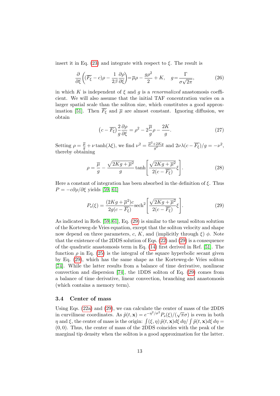insert it in Eq.  $(23)$  and integrate with respect to  $\xi$ . The result is

$$
\frac{\partial}{\partial \xi} \left( (\overline{F_{\xi}} - c)\rho - \frac{1}{2\beta} \frac{\partial \rho}{\partial \xi} \right) = \overline{\mu}\rho - \frac{g\rho^2}{2} + K, \quad g = \frac{\Gamma}{\sigma\sqrt{2\pi}},
$$
\n(26)

in which K is independent of  $\xi$  and g is a renormalized anastomosis coefficient. We will also assume that the initial TAF concentration varies on a larger spatial scale than the soliton size, which constitutes a good approx-imation [\[51\]](#page-33-10). Then  $\overline{F_{\xi}}$  and  $\overline{\mu}$  are almost constant. Ignoring diffusion, we obtain

$$
\left(c - \overline{F_{\xi}}\right) \frac{2}{g} \frac{\partial \rho}{\partial \xi} = \rho^2 - 2\frac{\overline{\mu}}{g} \rho - \frac{2K}{g}.
$$
\n(27)

Setting  $\rho = \frac{\overline{\mu}}{g} + \nu \tanh(\lambda \xi)$ , we find  $\nu^2 = \frac{\overline{\mu}^2 + 2Kg}{g^2}$  $\frac{+2Kg}{g^2}$  and  $2\nu\lambda(c-\overline{F_{\xi}})/g=-\nu^2$ , thereby obtaining

<span id="page-13-1"></span>
$$
\rho = \frac{\overline{\mu}}{g} - \frac{\sqrt{2Kg + \overline{\mu}^2}}{g} \tanh\left[\frac{\sqrt{2Kg + \overline{\mu}^2}}{2(c - \overline{F_{\xi}})} \xi\right].
$$
\n(28)

Here a constant of integration has been absorbed in the definition of  $\xi$ . Thus  $P = -c\partial \rho/\partial \xi$  yields [\[59,](#page-34-6) [61\]](#page-34-8)

<span id="page-13-0"></span>
$$
P_s(\xi) = \frac{(2Kg + \overline{\mu}^2)c}{2g(c - \overline{F_{\xi}})} \text{sech}^2 \left[ \frac{\sqrt{2Kg + \overline{\mu}^2}}{2(c - \overline{F_{\xi}})} \xi \right].
$$
 (29)

As indicated in Refs. [\[59,](#page-34-6) [61\]](#page-34-8), Eq. [\(29\)](#page-13-0) is similar to the usual soliton solution of the Korteweg-de Vries equation, except that the soliton velocity and shape now depend on three parameters, c, K, and (implicitly through  $\xi$ )  $\phi$ . Note that the existence of the 2DDS solution of Eqs. [\(22\)](#page-12-0) and [\(29\)](#page-13-0) is a consequence of the quadratic anastomosis term in Eq. [\(14\)](#page-9-0) first derived in Ref. [\[51\]](#page-33-10). The function  $\rho$  in Eq. [\(25\)](#page-12-3) is the integral of the square hyperbolic secant given by Eq. [\(29\)](#page-13-0), which has the same shape as the Korteweg-de Vries soliton [\[74\]](#page-35-8). While the latter results from a balance of time derivative, nonlinear convection and dispersion [\[74\]](#page-35-8), the 1DDS soliton of Eq. [\(29\)](#page-13-0) comes from a balance of time derivative, linear convection, branching and anastomosis (which contains a memory term).

#### 3.4 Center of mass

Using Eqs. [\(22a\)](#page-12-1) and [\(29\)](#page-13-0), we can calculate the center of mass of the 2DDS in curvilinear coordinates. As  $\tilde{p}(t, \mathbf{x}) = e^{-\eta^2/\sigma^2} P_s(\xi)/(\sqrt{\pi}\sigma)$  is even in both  $\eta$  and  $\xi$ , the center of mass is the origin:  $\int (\xi, \eta) \tilde{p}(t, \mathbf{x}) d\xi d\eta / \int \tilde{p}(t, \mathbf{x}) d\xi d\eta =$  $(0, 0)$ . Thus, the center of mass of the 2DDS coincides with the peak of the marginal tip density when the soliton is a good approximation for the latter.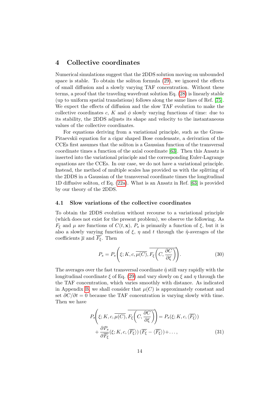# <span id="page-14-0"></span>4 Collective coordinates

Numerical simulations suggest that the 2DDS solution moving on unbounded space is stable. To obtain the soliton formula [\(29\)](#page-13-0), we ignored the effects of small diffusion and a slowly varying TAF concentration. Without these terms, a proof that the traveling wavefront solution Eq. [\(28\)](#page-13-1) is linearly stable (up to uniform spatial translations) follows along the same lines of Ref. [\[75\]](#page-35-9). We expect the effects of diffusion and the slow TAF evolution to make the collective coordinates c, K and  $\phi$  slowly varying functions of time: due to its stability, the 2DDS adjusts its shape and velocity to the instantaneous values of the collective coordinates.

For equations deriving from a variational principle, such as the Gross-Pitaevskii equation for a cigar shaped Bose condensate, a derivation of the CCEs first assumes that the soliton is a Gaussian function of the transversal coordinate times a function of the axial coordinate [\[63\]](#page-34-10). Then this Ansatz is inserted into the variational principle and the corresponding Euler-Lagrange equations are the CCEs. In our case, we do not have a variational principle. Instead, the method of multiple scales has provided us with the splitting of the 2DDS in a Gaussian of the transversal coordinate times the longitudinal 1D diffusive soliton, cf Eq. [\(22a\)](#page-12-1). What is an Ansatz in Ref. [\[63\]](#page-34-10) is provided by our theory of the 2DDS.

#### 4.1 Slow variations of the collective coordinates

To obtain the 2DDS evolution without recourse to a variational principle (which does not exist for the present problem), we observe the following. As  $F_{\xi}$  and  $\mu$  are functions of  $C(t, \mathbf{x})$ ,  $P_s$  is primarily a function of  $\xi$ , but it is also a slowly varying function of  $\xi$ ,  $\eta$  and  $t$  through the  $\tilde{\eta}$ -averages of the coefficients  $\overline{\mu}$  and  $\overline{F_{\xi}}$ . Then

<span id="page-14-2"></span>
$$
P_s = P_s\left(\xi; K, c, \overline{\mu(C)}, \overline{F_\xi\left(C, \frac{\partial C}{\partial \xi}\right)}\right).
$$
 (30)

The averages over the fast transversal coordinate  $\tilde{\eta}$  still vary rapidly with the longitudinal coordinate  $\xi$  of Eq. [\(29\)](#page-13-0) and vary slowly on  $\xi$  and  $\eta$  through the the TAF concentration, which varies smoothly with distance. As indicated in Appendix [B,](#page-28-0) we shall consider that  $\mu(C)$  is approximately constant and set  $\partial C/\partial t = 0$  because the TAF concentration is varying slowly with time. Then we have

<span id="page-14-1"></span>
$$
P_s\left(\xi; K, c, \overline{\mu(C)}, \overline{F_{\xi}\left(C, \frac{\partial C}{\partial \xi}\right)}\right) = P_s(\xi; K, c, \langle \overline{F_{\xi}} \rangle) + \frac{\partial P_s}{\partial \overline{F_{\xi}}}(\xi; K, c, \langle \overline{F_{\xi}} \rangle) (\overline{F_{\xi}} - \langle \overline{F_{\xi}} \rangle) + \dots,
$$
(31)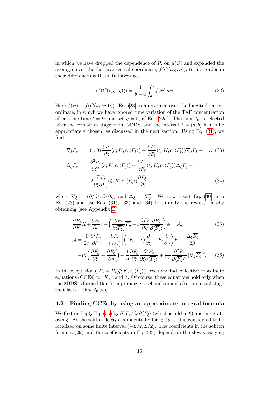in which we have dropped the dependence of  $P_s$  on  $\mu(C)$  and expanded the averages over the fast transversal coordinate,  $\overline{f(C(t,\xi,\eta))}$ , to first order in their differences with spatial averages

<span id="page-15-2"></span>
$$
\langle f(C(t,\psi,\eta))\rangle = \frac{1}{b-a} \int_{a}^{b} f(\psi) d\psi.
$$
 (32)

Here  $f(\psi) \equiv \overline{f(C(t_0, \psi, 0))}$ . Eq. [\(23\)](#page-12-2) is an average over the longitudinal coordinate, in which we have ignored time variation of the TAF concentration after some time  $t = t_0$  and set  $\eta = 0$ , cf Eq. [\(22a\)](#page-12-1). The time  $t_0$  is selected after the formation stage of the 2DDS, and the interval  $\mathcal{I} = (a, b)$  has to be appropriately chosen, as discussed in the next section. Using Eq. [\(31\)](#page-14-1), we find

<span id="page-15-0"></span>
$$
\nabla_{\xi} P_s = (1,0) \frac{\partial P_s}{\partial \xi} (\xi; K, c, \langle \overline{F_{\xi}} \rangle) + \frac{\partial P_s}{\partial \overline{F_{\xi}}} (\xi; K, c, \langle \overline{F_{\xi}} \rangle) \nabla_{\xi} \overline{F_{\xi}} + ..., (33)
$$
  
\n
$$
\Delta_{\xi} P_s = \frac{\partial^2 P_s}{\partial \xi^2} (\xi; K, c, \langle \overline{F_{\xi}} \rangle) + \frac{\partial P_s}{\partial \overline{F_{\xi}}} (\xi; K, c, \langle \overline{F_{\xi}} \rangle) \Delta_{\xi} \overline{F_{\xi}} +
$$
  
\n
$$
+ 2 \frac{\partial^2 P_s}{\partial \xi \partial \overline{F_{\xi}}} (\xi; K, c, \langle \overline{F_{\xi}} \rangle) \frac{\partial \overline{F_{\xi}}}{\partial \xi} + ...,
$$
  
\n(34)

where  $\nabla_{\xi} = (\partial/\partial \xi, \partial/\partial \eta)$  and  $\Delta_{\xi} = \nabla_{\xi}^2$ . We now insert Eq. [\(30\)](#page-14-2) into Eq.  $(23)$  and use Eqs.  $(31)$ ,  $(33)$  and  $(34)$  to simplify the result, thereby obtaining (see Appendix [B\)](#page-28-0)

<span id="page-15-1"></span>
$$
\frac{\partial P_s}{\partial K}\dot{K} + \frac{\partial P_s}{\partial c}\dot{c} + \left(\frac{\partial P_s}{\partial \langle \overline{F_{\xi}} \rangle}\overline{F_{\eta}} - \xi \frac{\partial \overline{F_{\xi}}}{\partial \eta}\frac{\partial P_s}{\partial \langle \overline{F_{\xi}} \rangle}\right)\dot{\phi} = \mathcal{A},
$$
(35)  

$$
\mathcal{A} = \frac{1}{2\beta} \frac{\partial^2 P_s}{\partial \xi^2} - \frac{\partial P_s}{\partial \langle \overline{F_{\xi}} \rangle} \left[ \left(\overline{F_{\xi}} - c\right) \frac{\partial}{\partial \xi} + \overline{F_{\eta}} \frac{\partial}{\partial \eta} \right) \overline{F_{\xi}} - \frac{\Delta_{\xi} \overline{F_{\xi}}}{2\beta} \right]
$$

$$
-P_s \left( \frac{\partial \overline{F_{\xi}}}{\partial \xi} + \frac{\partial \overline{F_{\eta}}}{\partial \eta} \right) + \frac{1}{\beta} \frac{\partial \overline{F_{\xi}}}{\partial \xi} \frac{\partial^2 P_s}{\partial \xi \partial \langle \overline{F_{\xi}} \rangle} + \frac{1}{2\beta} \frac{\partial^2 P_s}{\partial \langle \overline{F_{\xi}} \rangle^2} |\nabla_{\xi} \overline{F_{\xi}}|^2. \tag{36}
$$

In these equations,  $P_s = P_s(\xi; K, c, \langle \overline{F_{\xi}} \rangle)$ . We now find collective coordinate equations (CCEs) for K, c and  $\phi$ . Of course, these equations hold only when the 2DDS is formed (far from primary vessel and tumor) after an initial stage that lasts a time  $t_0 > 0$ .

### 4.2 Finding CCEs by using an approximate integral formula

We first multiply Eq. [\(35\)](#page-15-1) by  $\partial^2 P_s/\partial \xi \partial \langle \overline{F_{\xi}} \rangle$  (which is odd in  $\xi$ ) and integrate over  $\xi$ . As the soliton decays exponentially for  $|\xi| \gg 1$ , it is considered to be localized on some finite interval  $(-\mathcal{L}/2, \mathcal{L}/2)$ . The coefficients in the soliton formula [\(29\)](#page-13-0) and the coefficients in Eq. [\(35\)](#page-15-1) depend on the slowly varying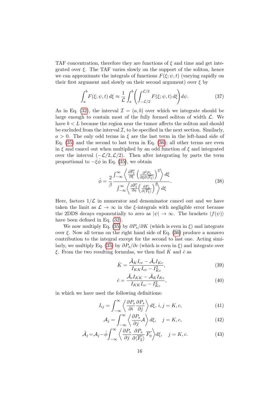TAF concentration, therefore they are functions of  $\xi$  and time and get integrated over  $\xi$ . The TAF varies slowly on the support of the soliton, hence we can approximate the integrals of functions  $F(\xi; \psi, t)$  (varying rapidly on their first argument and slowly on their second argument) over  $\xi$  by

$$
\int_{a}^{b} F(\xi; \psi, t) d\xi \approx \frac{1}{\mathcal{L}} \int_{a}^{b} \left( \int_{-\mathcal{L}/2}^{\mathcal{L}/2} F(\xi; \psi, t) d\xi \right) d\psi.
$$
 (37)

As in Eq. [\(32\)](#page-15-2), the interval  $\mathcal{I} = (a, b)$  over which we integrate should be large enough to contain most of the fully formed soliton of width  $\mathcal{L}$ . We have  $b < L$  because the region near the tumor affects the soliton and should be excluded from the interval  $\mathcal{I}$ , to be specified in the next section. Similarly,  $a > 0$ . The only odd terms in  $\xi$  are the last term in the left-hand side of Eq.  $(35)$  and the second to last term in Eq.  $(36)$ ; all other terms are even in  $\xi$  and cancel out when multiplied by an odd function of  $\xi$  and integrated over the interval  $(-\mathcal{L}/2,\mathcal{L}/2)$ . Then after integrating by parts the term proportional to  $-\xi \dot{\phi}$  in Eq. [\(35\)](#page-15-1), we obtain

<span id="page-16-2"></span>
$$
\dot{\phi} = \frac{2}{\beta} \frac{\int_{-\infty}^{\infty} \left\langle \frac{\partial \overline{F_{\xi}}}{\partial \xi} \left( \frac{\partial^2 P_s}{\partial \xi \partial \langle \overline{F_{\xi}} \rangle} \right)^2 \right\rangle d\xi}{\int_{-\infty}^{\infty} \left\langle \frac{\partial \overline{F_{\xi}}}{\partial \eta} \left( \frac{\partial P_s}{\partial \langle \overline{F_{\xi}} \rangle} \right)^2 \right\rangle d\xi}.
$$
(38)

Here, factors  $1/\mathcal{L}$  in numerator and denominator cancel out and we have taken the limit as  $\mathcal{L} \to \infty$  in the  $\xi$ -integrals with negligible error because the 2DDS decays exponentially to zero as  $|\psi| \to \infty$ . The brackets  $\langle f(\psi) \rangle$ have been defined in Eq. [\(32\)](#page-15-2).

We now multiply Eq. [\(35\)](#page-15-1) by  $\partial P_s/\partial K$  (which is even in  $\xi$ ) and integrate over  $\xi$ . Now all terms on the right hand side of Eq. [\(36\)](#page-15-1) produce a nonzero contribution to the integral except for the second to last one. Acting simi-larly, we multiply Eq. [\(35\)](#page-15-1) by  $\partial P_s/\partial c$  (which is even in  $\xi$ ) and integrate over  $\xi$ . From the two resulting formulas, we then find  $\hat{K}$  and  $\hat{c}$  as

<span id="page-16-1"></span>
$$
\dot{K} = \frac{\tilde{\mathcal{A}}_K I_{cc} - \tilde{\mathcal{A}}_c I_{Kc}}{I_{KK} I_{cc} - I_{Kc}^2},\tag{39}
$$

$$
\dot{c} = \frac{\tilde{\mathcal{A}}_c I_{KK} - \tilde{\mathcal{A}}_K I_{Kc}}{I_{KK} I_{cc} - I_{Kc}^2},\tag{40}
$$

in which we have used the following definitions:

<span id="page-16-0"></span>
$$
I_{ij} = \int_{-\infty}^{\infty} \left\langle \frac{\partial P_s}{\partial i} \frac{\partial P_s}{\partial j} \right\rangle d\xi, \, i, j = K, c,\tag{41}
$$

$$
\mathcal{A}_{j} = \int_{-\infty}^{\infty} \left\langle \frac{\partial P_{s}}{\partial j} \mathcal{A} \right\rangle d\xi, \quad j = K, c,
$$
\n(42)

$$
\tilde{\mathcal{A}}_j = \mathcal{A}_j - \dot{\phi} \int_{-\infty}^{\infty} \left\langle \frac{\partial P_s}{\partial j} \frac{\partial P_s}{\partial \langle \overline{F_{\xi}} \rangle} \overline{F_{\eta}} \right\rangle d\xi, \quad j = K, c.
$$
 (43)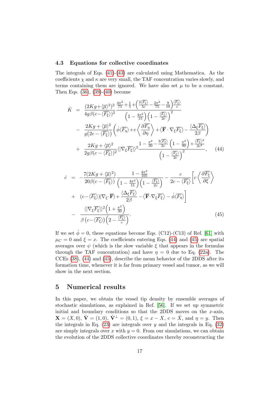#### 4.3 Equations for collective coordinates

The integrals of Eqs. [\(41\)](#page-16-0)-[\(43\)](#page-16-0) are calculated using Mathematica. As the coefficients  $\chi$  and  $\kappa$  are very small, the TAF concentration varies slowly, and terms containing them are ignored. We have also set  $\mu$  to be a constant. Then Eqs. [\(36\)](#page-15-1), [\(39\)](#page-16-1)-[\(40\)](#page-16-1) become

<span id="page-17-1"></span>
$$
\dot{K} = \frac{(2Kg + \langle \overline{\mu} \rangle^2)^2}{4g\beta(c - \langle \overline{F_{\xi}} \rangle)^2} \frac{\frac{4\pi^2}{75} + \frac{1}{5} + \left(\frac{2\langle \overline{F_{\xi}} \rangle}{5c} - \frac{2\pi^2}{75} - \frac{9}{10}\right) \frac{\langle \overline{F_{\xi}} \rangle}{c}}{\left(1 - \frac{4\pi^2}{15}\right) \left(1 - \frac{\langle \overline{F_{\xi}} \rangle}{2c}\right)^2} \n- \frac{2Kg + \langle \overline{\mu} \rangle^2}{g(2c - \langle \overline{F_{\xi}} \rangle)} \left(\dot{\phi} \langle \overline{F_{\eta}} \rangle + c \left\langle \frac{\partial \overline{F_{\eta}}}{\partial \eta} \right\rangle + \langle \overline{F} \cdot \nabla_{\xi} \overline{F_{\xi}} \rangle - \frac{\langle \Delta_{\xi} \overline{F_{\xi}} \rangle}{2\beta} \right) \n+ \frac{2Kg + \langle \overline{\mu} \rangle^2}{2g\beta(c - \langle \overline{F_{\xi}} \rangle)^2} \langle |\nabla_{\xi} \overline{F_{\xi}}| \rangle^2 \frac{1 - \frac{\pi^2}{30} - \frac{3\langle \overline{F_{\xi}} \rangle}{2c} \left(1 - \frac{\pi^2}{90}\right) + \frac{\langle \overline{F_{\xi}} \rangle^2}{2c^2}}{\left(1 - \frac{\langle \overline{F_{\xi}} \rangle}{2c}\right)^2}, \quad (44)
$$

<span id="page-17-2"></span>
$$
\dot{c} = -\frac{7(2Kg + \langle \overline{\mu} \rangle^2)}{20\beta(c - \langle \overline{F_{\xi}} \rangle)} \frac{1 - \frac{4\pi^2}{105}}{\left(1 - \frac{4\pi^2}{15}\right)\left(1 - \frac{\langle \overline{F_{\xi}} \rangle}{2c} - \langle \overline{F_{\xi}} \rangle\right)} - \frac{c}{2c - \langle \overline{F_{\xi}} \rangle} \left[c \langle \frac{\partial \overline{F_{\xi}}}{\partial \xi} \rangle \right] + (c - \langle \overline{F_{\xi}} \rangle) \langle \nabla_{\xi} \cdot \overline{\mathbf{F}} \rangle + \frac{\langle \Delta_{\xi} \overline{F_{\xi}} \rangle}{2\beta} - \langle \overline{\mathbf{F}} \cdot \nabla_{\xi} \overline{F_{\xi}} \rangle - \dot{\phi} \langle \overline{F_{\eta}} \rangle \right] - \frac{\langle |\nabla_{\xi} \overline{F_{\xi}}| \rangle^2 \left(1 + \frac{\pi^2}{30}\right)}{\beta (c - \langle \overline{F_{\xi}} \rangle) \left(2 - \frac{\langle \overline{F_{\xi}} \rangle}{c}\right)}.
$$
\n(45)

If we set  $\dot{\phi} = 0$ , these equations become Eqs. (C12)-(C13) of Ref. [\[61\]](#page-34-8) with  $\mu_C = 0$  and  $\xi = x$ . The coefficients entering Eqs. [\(44\)](#page-17-1) and [\(45\)](#page-17-2) are spatial averages over  $\psi$  (which is the slow variable  $\xi$  that appears in the formulas through the TAF concentration) and have  $\eta = 0$  due to Eq. [\(22a\)](#page-12-1). The CCEs [\(38\)](#page-16-2), [\(44\)](#page-17-1) and [\(45\)](#page-17-2), describe the mean behavior of the 2DDS after its formation time, whenever it is far from primary vessel and tumor, as we will show in the next section.

### <span id="page-17-0"></span>5 Numerical results

In this paper, we obtain the vessel tip density by ensemble averages of stochastic simulations, as explained in Ref. [\[56\]](#page-34-3). If we set up symmetric initial and boundary conditions so that the 2DDS moves on the  $x$ -axis,  $\mathbf{X} = (X, 0), \hat{\mathbf{V}} = (1, 0), \hat{\mathbf{V}}^{\perp} = (0, 1), \xi = x - X, c = \dot{X}, \text{ and } \eta = y.$  Then the integrals in Eq.  $(23)$  are integrals over y and the integrals in Eq.  $(32)$ are simply integrals over x with  $y = 0$ . From our simulations, we can obtain the evolution of the 2DDS collective coordinates thereby reconstructing the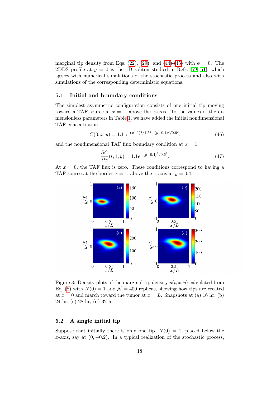marginal tip density from Eqs. [\(22\)](#page-12-0), [\(29\)](#page-13-0), and [\(44\)](#page-17-1)-[\(45\)](#page-17-2) with  $\phi = 0$ . The 2DDS profile at  $y = 0$  is the 1D soliton studied in Refs. [\[59,](#page-34-6) [61\]](#page-34-8), which agrees with numerical simulations of the stochastic process and also with simulations of the corresponding deterministic equations.

#### 5.1 Initial and boundary conditions

The simplest asymmetric configuration consists of one initial tip moving toward a TAF source at  $x = 1$ , above the x-axis. To the values of the dimensionless parameters in Table [1,](#page-7-0) we have added the initial nondimensional TAF concentration

<span id="page-18-2"></span>
$$
C(0, x, y) = 1.1 e^{-(x-1)^2/1.5^2 - (y-0.4)^2/0.6^2},
$$
\n(46)

and the nondimensional TAF flux boundary condition at  $x = 1$ 

<span id="page-18-1"></span>
$$
\frac{\partial C}{\partial x}(t, 1, y) = 1.1e^{-(y - 0.4)^2/0.6^2}.
$$
\n(47)

<span id="page-18-0"></span>At  $x = 0$ , the TAF flux is zero. These conditions correspond to having a TAF source at the border  $x = 1$ , above the x-axis at  $y = 0.4$ .



Figure 3: Density plots of the marginal tip density  $\tilde{p}(t, x, y)$  calculated from Eq. [\(8\)](#page-8-0) with  $N(0) = 1$  and  $\mathcal{N} = 400$  replicas, showing how tips are created at  $x = 0$  and march toward the tumor at  $x = L$ . Snapshots at (a) 16 hr, (b) 24 hr, (c) 28 hr, (d) 32 hr.

### 5.2 A single initial tip

Suppose that initially there is only one tip,  $N(0) = 1$ , placed below the x-axis, say at  $(0, -0.2)$ . In a typical realization of the stochastic process,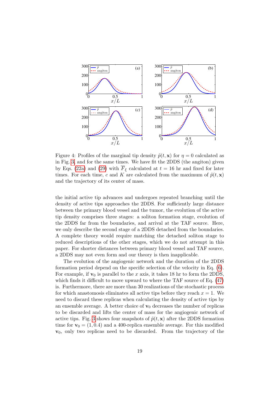<span id="page-19-0"></span>

Figure 4: Profiles of the marginal tip density  $\tilde{p}(t, x)$  for  $\eta = 0$  calculated as in Fig. [3,](#page-18-0) and for the same times. We have fit the 2DDS (the angiton) given by Eqs. [\(22a\)](#page-12-1) and [\(29\)](#page-13-0) with  $\overline{F}_{\xi}$  calculated at  $t = 16$  hr and fixed for later times. For each time, c and K are calculated from the maximum of  $\tilde{p}(t, x)$ and the trajectory of its center of mass.

the initial active tip advances and undergoes repeated branching until the density of active tips approaches the 2DDS. For sufficiently large distance between the primary blood vessel and the tumor, the evolution of the active tip density comprises three stages: a soliton formation stage, evolution of the 2DDS far from the boundaries, and arrival at the TAF source. Here, we only describe the second stage of a 2DDS detached from the boundaries. A complete theory would require matching the detached soliton stage to reduced descriptions of the other stages, which we do not attempt in this paper. For shorter distances between primary blood vessel and TAF source, a 2DDS may not even form and our theory is then inapplicable.

The evolution of the angiogenic network and the duration of the 2DDS formation period depend on the specific selection of the velocity in Eq. [\(6\)](#page-7-1). For example, if  $v_0$  is parallel to the x axis, it takes 18 hr to form the 2DDS, which finds it difficult to move upward to where the TAF source of Eq.  $(47)$ is. Furthermore, there are more than 30 realizations of the stochastic process for which anastomosis eliminates all active tips before they reach  $x = 1$ . We need to discard these replicas when calculating the density of active tips by an ensemble average. A better choice of  $\mathbf{v}_0$  decreases the number of replicas to be discarded and lifts the center of mass for the angiogenic network of active tips. Fig. [3](#page-18-0) shows four snapshots of  $\tilde{p}(t, x)$  after the 2DDS formation time for  $v_0 = (1, 0.4)$  and a 400-replica ensemble average. For this modified  $v_0$ , only two replicas need to be discarded. From the trajectory of the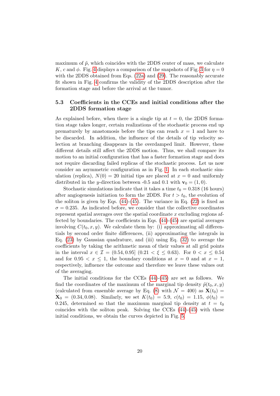maximum of  $\tilde{p}$ , which coincides with the 2DDS center of mass, we calculate K, c and  $\phi$ . Fig. [4](#page-19-0) displays a comparison of the snapshots of Fig. [3](#page-18-0) for  $\eta = 0$ with the 2DDS obtained from Eqs. [\(22a\)](#page-12-1) and [\(29\)](#page-13-0). The reasonably accurate fit shown in Fig. [4](#page-19-0) confirms the validity of the 2DDS description after the formation stage and before the arrival at the tumor.

### 5.3 Coefficients in the CCEs and initial conditions after the 2DDS formation stage

As explained before, when there is a single tip at  $t = 0$ , the 2DDS formation stage takes longer, certain realizations of the stochastic process end up prematurely by anastomosis before the tips can reach  $x = 1$  and have to be discarded. In addition, the influence of the details of tip velocity selection at branching disappears in the overdamped limit. However, these different details still affect the 2DDS motion. Thus, we shall compare its motion to an initial configuration that has a faster formation stage and does not require discarding failed replicas of the stochastic process. Let us now consider an asymmetric configuration as in Fig. [1.](#page-3-0) In each stochastic simulation (replica),  $N(0) = 20$  initial tips are placed at  $x = 0$  and uniformly distributed in the y-direction between -0.5 and 0.1 with  $\mathbf{v}_0 = (1, 0)$ .

Stochastic simulations indicate that it takes a time  $t_0 = 0.318$  (16 hours) after angiogenesis initiation to form the 2DDS. For  $t > t_0$ , the evolution of the soliton is given by Eqs.  $(44)-(45)$  $(44)-(45)$ . The variance in Eq.  $(22)$  is fixed as  $\sigma = 0.235$ . As indicated before, we consider that the collective coordinates represent spatial averages over the spatial coordinate  $x$  excluding regions affected by boundaries. The coefficients in Eqs. [\(44\)](#page-17-1)-[\(45\)](#page-17-2) are spatial averages involving  $C(t_0, x, y)$ . We calculate them by: (i) approximating all differentials by second order finite differences, (ii) approximating the integrals in Eq.  $(23)$  by Gaussian quadrature, and (iii) using Eq.  $(32)$  to average the coefficients by taking the arithmetic mean of their values at all grid points in the interval  $x \in \mathcal{I} = (0.54, 0.95]$   $(0.21 < \xi \leq 0.63)$ . For  $0 < x \leq 0.54$ and for  $0.95 < x \leq 1$ , the boundary conditions at  $x = 0$  and at  $x = 1$ , respectively, influence the outcome and therefore we leave these values out of the averaging.

The initial conditions for the CCEs [\(44\)](#page-17-1)-[\(45\)](#page-17-2) are set as follows. We find the coordinates of the maximum of the marginal tip density  $\tilde{p}(t_0, x, y)$ (calculated from ensemble average by Eq. [\(8\)](#page-8-0) with  $\mathcal{N} = 400$ ) as  $\mathbf{X}(t_0) =$  $\mathbf{X}_0 = (0.34, 0.08)$ . Similarly, we set  $K(t_0) = 5.9, c(t_0) = 1.15, \phi(t_0) =$ 0.245, determined so that the maximum marginal tip density at  $t = t_0$ coincides with the soliton peak. Solving the CCEs  $(44)-(45)$  $(44)-(45)$  with these initial conditions, we obtain the curves depicted in Fig. [5.](#page-21-0)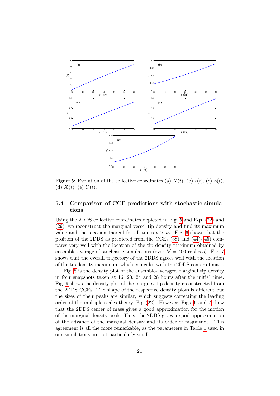<span id="page-21-0"></span>

Figure 5: Evolution of the collective coordinates (a)  $K(t)$ , (b)  $c(t)$ , (c)  $\phi(t)$ , (d)  $X(t)$ , (e)  $Y(t)$ .

### 5.4 Comparison of CCE predictions with stochastic simulations

Using the 2DDS collective coordinates depicted in Fig. [5](#page-21-0) and Eqs. [\(22\)](#page-12-0) and [\(29\)](#page-13-0), we reconstruct the marginal vessel tip density and find its maximum value and the location thereof for all times  $t > t_0$ . Fig. [6](#page-22-0) shows that the position of the 2DDS as predicted from the CCEs [\(38\)](#page-16-2) and [\(44\)](#page-17-1)-[\(45\)](#page-17-2) compares very well with the location of the tip density maximum obtained by ensemble average of stochastic simulations (over  $\mathcal{N} = 400$  replicas). Fig. [7](#page-23-1) shows that the overall trajectory of the 2DDS agrees well with the location of the tip density maximum, which coincides with the 2DDS center of mass.

Fig. [8](#page-24-0) is the density plot of the ensemble-averaged marginal tip density in four snapshots taken at 16, 20, 24 and 28 hours after the initial time. Fig. [9](#page-25-0) shows the density plot of the marginal tip density reconstructed from the 2DDS CCEs. The shape of the respective density plots is different but the sizes of their peaks are similar, which suggests correcting the leading order of the multiple scales theory, Eq. [\(22\)](#page-12-0). However, Figs. [6](#page-22-0) and [7](#page-23-1) show that the 2DDS center of mass gives a good approximation for the motion of the marginal density peak. Thus, the 2DDS gives a good approximation of the advance of the marginal density and its order of magnitude. This agreement is all the more remarkable, as the parameters in Table [1](#page-7-0) used in our simulations are not particularly small.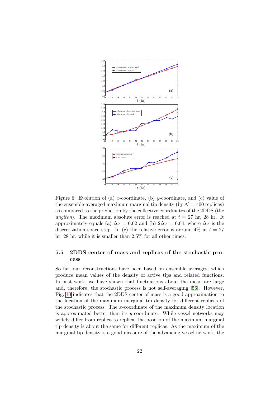<span id="page-22-0"></span>

Figure 6: Evolution of (a) x-coordinate, (b) y-coordinate, and (c) value of the ensemble-averaged maximum marginal tip density (by  $\mathcal{N} = 400$  replicas) as compared to the prediction by the collective coordinates of the 2DDS (the *angiton*). The maximum absolute error is reached at  $t = 27$  hr, 28 hr. It approximately equals (a)  $\Delta x = 0.02$  and (b)  $2\Delta x = 0.04$ , where  $\Delta x$  is the discretization space step. In (c) the relative error is around  $4\%$  at  $t = 27$ hr, 28 hr, while it is smaller than 2.5% for all other times.

### 5.5 2DDS center of mass and replicas of the stochastic process

So far, our reconstructions have been based on ensemble averages, which produce mean values of the density of active tips and related functions. In past work, we have shown that fluctuations about the mean are large and, therefore, the stochastic process is not self-averaging [\[56\]](#page-34-3). However, Fig. [10](#page-26-0) indicates that the 2DDS center of mass is a good approximation to the location of the maximum marginal tip density for different replicas of the stochastic process. The x-coordinate of the maximum density location is approximated better than its  $y$ -coordinate. While vessel networks may widely differ from replica to replica, the position of the maximum marginal tip density is about the same for different replicas. As the maximum of the marginal tip density is a good measure of the advancing vessel network, the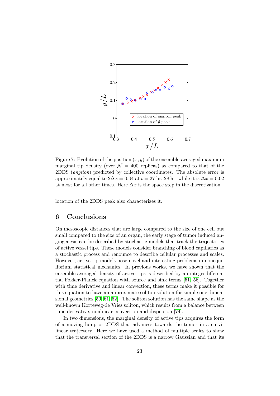<span id="page-23-1"></span>

Figure 7: Evolution of the position  $(x, y)$  of the ensemble-averaged maximum marginal tip density (over  $\mathcal{N} = 400$  replicas) as compared to that of the 2DDS (angiton) predicted by collective coordinates. The absolute error is approximately equal to  $2\Delta x = 0.04$  at  $t = 27$  hr, 28 hr, while it is  $\Delta x = 0.02$ at most for all other times. Here  $\Delta x$  is the space step in the discretization.

location of the 2DDS peak also characterizes it.

# <span id="page-23-0"></span>6 Conclusions

On mesoscopic distances that are large compared to the size of one cell but small compared to the size of an organ, the early stage of tumor induced angiogenesis can be described by stochastic models that track the trajectories of active vessel tips. These models consider branching of blood capillaries as a stochastic process and renounce to describe cellular processes and scales. However, active tip models pose novel and interesting problems in nonequilibrium statistical mechanics. In previous works, we have shown that the ensemble-averaged density of active tips is described by an integrodifferential Fokker-Planck equation with source and sink terms [\[51,](#page-33-10) [56\]](#page-34-3). Together with time derivative and linear convection, these terms make it possible for this equation to have an approximate soliton solution for simple one dimensional geometries [\[59,](#page-34-6) [61,](#page-34-8) [62\]](#page-34-9). The soliton solution has the same shape as the well-known Korteweg-de Vries soliton, which results from a balance between time derivative, nonlinear convection and dispersion [\[74\]](#page-35-8).

In two dimensions, the marginal density of active tips acquires the form of a moving lump or 2DDS that advances towards the tumor in a curvilinear trajectory. Here we have used a method of multiple scales to show that the transversal section of the 2DDS is a narrow Gaussian and that its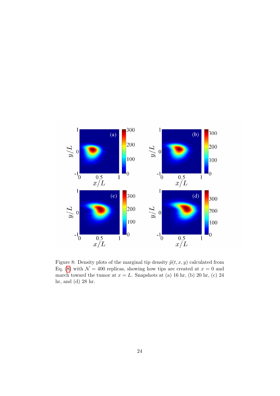<span id="page-24-0"></span>

Figure 8: Density plots of the marginal tip density  $\tilde{p}(t, x, y)$  calculated from Eq. [\(8\)](#page-8-0) with  $\mathcal{N} = 400$  replicas, showing how tips are created at  $x = 0$  and march toward the tumor at  $x = L$ . Snapshots at (a) 16 hr, (b) 20 hr, (c) 24 hr, and (d) 28 hr.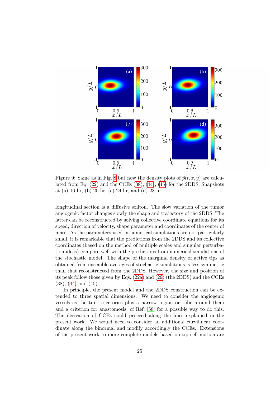<span id="page-25-0"></span>

Figure 9: Same as in Fig. [8](#page-24-0) but now the density plots of  $\tilde{p}(t, x, y)$  are calculated from Eq. [\(22\)](#page-12-0) and the CCEs [\(38\)](#page-16-2), [\(44\)](#page-17-1), [\(45\)](#page-17-2) for the 2DDS. Snapshots at (a) 16 hr, (b) 20 hr, (c) 24 hr, and (d) 28 hr.

longitudinal section is a diffusive soliton. The slow variation of the tumor angiogenic factor changes slowly the shape and trajectory of the 2DDS. The latter can be reconstructed by solving collective coordinate equations for its speed, direction of velocity, shape parameter and coordinates of the center of mass. As the parameters used in numerical simulations are not particularly small, it is remarkable that the predictions from the 2DDS and its collective coordinates (based on the method of multiple scales and singular perturbation ideas) compare well with the predictions from numerical simulations of the stochastic model. The shape of the marginal density of active tips as obtained from ensemble averages of stochastic simulations is less symmetric than that reconstructed from the 2DDS. However, the size and position of its peak follow those given by Eqs. [\(22a\)](#page-12-1) and [\(29\)](#page-13-0) (the 2DDS) and the CCEs [\(38\)](#page-16-2), [\(44\)](#page-17-1) and [\(45\)](#page-17-2).

In principle, the present model and the 2DDS construction can be extended to three spatial dimensions. We need to consider the angiogenic vessels as the tip trajectories plus a narrow region or tube around them and a criterion for anastomosis; cf Ref. [\[58\]](#page-34-5) for a possible way to do this. The derivation of CCEs could proceed along the lines explained in the present work. We would need to consider an additional curvilinear coordinate along the binormal and modify accordingly the CCEs. Extensions of the present work to more complete models based on tip cell motion are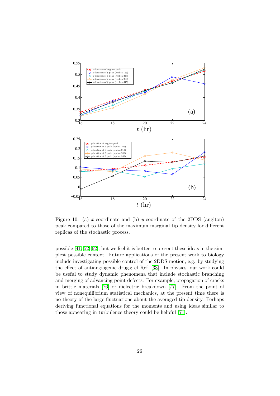<span id="page-26-0"></span>

Figure 10: (a) x-coordinate and (b) y-coordinate of the 2DDS (angiton) peak compared to those of the maximum marginal tip density for different replicas of the stochastic process.

possible [\[41,](#page-33-0) [52,](#page-33-11) [62\]](#page-34-9), but we feel it is better to present these ideas in the simplest possible context. Future applications of the present work to biology include investigating possible control of the 2DDS motion, e.g. by studying the effect of antiangiogenic drugs; cf Ref. [\[33\]](#page-32-5). In physics, our work could be useful to study dynamic phenomena that include stochastic branching and merging of advancing point defects. For example, propagation of cracks in brittle materials [\[76\]](#page-35-10) or dielectric breakdown [\[77\]](#page-35-11). From the point of view of nonequilibrium statistical mechanics, at the present time there is no theory of the large fluctuations about the averaged tip density. Perhaps deriving functional equations for the moments and using ideas similar to those appearing in turbulence theory could be helpful [\[71\]](#page-35-5).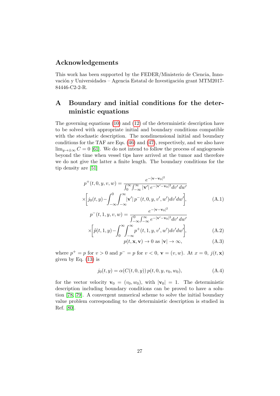# Acknowledgements

This work has been supported by the FEDER/Ministerio de Ciencia, Innovación y Universidades – Agencia Estatal de Investigación grant MTM2017-84446-C2-2-R.

# <span id="page-27-0"></span>A Boundary and initial conditions for the deterministic equations

The governing equations [\(10\)](#page-8-1) and [\(12\)](#page-8-2) of the deterministic description have to be solved with appropriate initial and boundary conditions compatible with the stochastic description. The nondimensional initial and boundary conditions for the TAF are Eqs. [\(46\)](#page-18-2) and [\(47\)](#page-18-1), respectively, and we also have  $\lim_{y\to\pm\infty} C = 0$  [\[61\]](#page-34-8). We do not intend to follow the process of angiogenesis beyond the time when vessel tips have arrived at the tumor and therefore we do not give the latter a finite length. The boundary conditions for the tip density are [\[51\]](#page-33-10)

$$
p^{+}(t, 0, y, v, w) = \frac{e^{-|\mathbf{v} - \mathbf{v}_0|^2}}{\int_0^{\infty} \int_{-\infty}^{\infty} |\mathbf{v}'| e^{-|\mathbf{v}' - \mathbf{v}_0|^2} dv' dw'}
$$

$$
\times \left[ j_0(t, y) - \int_{-\infty}^0 \int_{-\infty}^{\infty} |\mathbf{v}'| p^{-}(t, 0, y, v', w') dv' dw' \right],
$$

$$
p^{-}(t, 1, y, v, w) = \frac{e^{-|\mathbf{v} - \mathbf{v}_0|^2}}{\int_0^{\infty} |\mathbf{v}'|^2}.
$$
 (A.1)

$$
p^{-}(t, 1, y, v, w) = \frac{1}{\int_{-\infty}^{0} \int_{-\infty}^{\infty} e^{-|v'-v_{0}|^{2}} dv' dw'} \times \left[ \tilde{p}(t, 1, y) - \int_{0}^{\infty} \int_{-\infty}^{\infty} p^{+}(t, 1, y, v', w') dv' dw' \right],
$$
 (A.2)

$$
p(t, \mathbf{x}, \mathbf{v}) \to 0 \text{ as } |\mathbf{v}| \to \infty,
$$
 (A.3)

where  $p^+ = p$  for  $v > 0$  and  $p^- = p$  for  $v < 0$ ,  $\mathbf{v} = (v, w)$ . At  $x = 0$ ,  $j(t, \mathbf{x})$ given by Eq.  $(13)$  is

$$
j_0(t, y) = \alpha(C(t, 0, y)) p(t, 0, y, v_0, w_0),
$$
 (A.4)

for the vector velocity  $\mathbf{v}_0 = (v_0, w_0)$ , with  $|\mathbf{v}_0| = 1$ . The deterministic description including boundary conditions can be proved to have a solution [\[78,](#page-35-12) [79\]](#page-35-13). A convergent numerical scheme to solve the initial boundary value problem corresponding to the deterministic description is studied in Ref. [\[80\]](#page-35-14).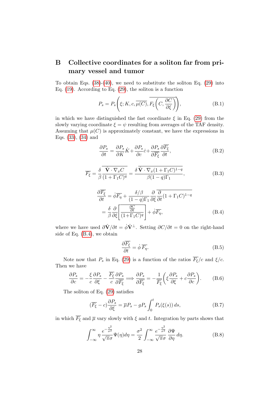# <span id="page-28-0"></span>B Collective coordinates for a soliton far from primary vessel and tumor

To obtain Eqs.  $(38)-(40)$  $(38)-(40)$ , we need to substitute the soliton Eq.  $(29)$  into Eq. [\(19\)](#page-11-1). According to Eq. [\(29\)](#page-13-0), the soliton is a function

$$
P_s = P_s\left(\xi; K, c, \overline{\mu(C)}, \overline{F_{\xi}\left(C, \frac{\partial C}{\partial \xi}\right)}\right),\tag{B.1}
$$

in which we have distinguished the fast coordinate  $\xi$  in Eq. [\(29\)](#page-13-0) from the slowly varying coordinate  $\xi = \psi$  resulting from averages of the TAF density. Assuming that  $\mu(C)$  is approximately constant, we have the expressions in Eqs. [\(33\)](#page-15-0), [\(34\)](#page-15-0) and

<span id="page-28-3"></span>
$$
\frac{\partial P_s}{\partial t} = \frac{\partial P_s}{\partial K} \dot{K} + \frac{\partial P_s}{\partial c} \dot{c} + \frac{\partial P_s}{\partial \overline{F_{\xi}}} \frac{\partial \overline{F_{\xi}}}{\partial t},
$$
(B.2)

$$
\overline{F_{\xi}} = \frac{\delta \overline{\hat{\mathbf{V}} \cdot \nabla_x C}}{\beta \overline{(1 + \Gamma_1 C)^q}} = \frac{\delta \overline{\hat{\mathbf{V}} \cdot \nabla_x (1 + \Gamma_1 C)^{1-q}}}{\beta (1 - q) \Gamma_1}, \tag{B.3}
$$

<span id="page-28-1"></span>
$$
\frac{\partial \overline{F_{\xi}}}{\partial t} = \dot{\phi} \overline{F_{\eta}} + \frac{\delta/\beta}{(1-q)\Gamma_1} \frac{\partial}{\partial \xi} \overline{\frac{\partial}{\partial t} (1 + \Gamma_1 C)^{1-q}}
$$

$$
= \frac{\delta}{\beta} \frac{\partial}{\partial \xi} \left[ \frac{\frac{\partial C}{\partial t}}{(1 + \Gamma_1 C)^q} \right] + \dot{\phi} \overline{F_{\eta}}, \tag{B.4}
$$

where we have used  $\partial \hat{\mathbf{V}}/\partial t = \dot{\phi} \hat{\mathbf{V}}^{\perp}$ . Setting  $\partial C/\partial t = 0$  on the right-hand side of Eq. [\(B.4\)](#page-28-1), we obtain

<span id="page-28-4"></span>
$$
\frac{\partial \overline{F_{\xi}}}{\partial t} = \dot{\phi} \overline{F_{\eta}}.
$$
\n(B.5)

Note now that  $P_s$  in Eq. [\(29\)](#page-13-0) is a function of the ratios  $\overline{F_{\xi}}/c$  and  $\xi/c$ . Then we have

<span id="page-28-5"></span>
$$
\frac{\partial P_s}{\partial c} = -\frac{\xi}{c} \frac{\partial P_s}{\partial \xi} - \frac{\overline{F_{\xi}}}{c} \frac{\partial P_s}{\partial \overline{F_{\xi}}} \Longrightarrow \frac{\partial P_s}{\partial \overline{F_{\xi}}} = -\frac{1}{\overline{F_{\xi}}} \left( \xi \frac{\partial P_s}{\partial \xi} + c \frac{\partial P_s}{\partial c} \right). \tag{B.6}
$$

The soliton of Eq. [\(29\)](#page-13-0) satisfies

<span id="page-28-6"></span>
$$
(\overline{F_{\xi}} - c)\frac{\partial P_s}{\partial \xi} = \overline{\mu}P_s - gP_s \int_0^t P_s(\xi(s)) ds,
$$
\n(B.7)

in which  $\overline{F_{\xi}}$  and  $\overline{\mu}$  vary slowly with  $\xi$  and  $t$ . Integration by parts shows that

<span id="page-28-2"></span>
$$
\int_{-\infty}^{\infty} \eta \, \frac{e^{-\frac{\eta^2}{\sigma^2}}}{\sqrt{\pi}\sigma} \Psi(\eta) d\eta = \frac{\sigma^2}{2} \int_{-\infty}^{\infty} \frac{e^{-\frac{\eta^2}{\sigma^2}}}{\sqrt{\pi}\sigma} \frac{\partial \Psi}{\partial \eta} d\eta.
$$
 (B.8)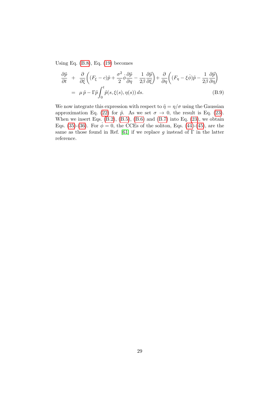Using Eq.  $(B.8)$ , Eq.  $(19)$  becomes

$$
\frac{\partial \tilde{p}}{\partial t} + \frac{\partial}{\partial \xi} \left( (F_{\xi} - c)\tilde{p} + \frac{\sigma^2}{2} \dot{\phi} \frac{\partial \tilde{p}}{\partial \eta} - \frac{1}{2\beta} \frac{\partial \tilde{p}}{\partial \xi} \right) + \frac{\partial}{\partial \eta} \left( (F_{\eta} - \xi \dot{\phi})\tilde{p} - \frac{1}{2\beta} \frac{\partial \tilde{p}}{\partial \eta} \right)
$$
  
=  $\mu \tilde{p} - \Gamma \tilde{p} \int_{0}^{t} \tilde{p}(s, \xi(s), \eta(s)) ds.$  (B.9)

We now integrate this expression with respect to  $\tilde{\eta}=\eta/\sigma$  using the Gaussian approximation Eq. [\(22\)](#page-12-0) for  $\tilde{p}$ . As we set  $\sigma \to 0$ , the result is Eq. [\(23\)](#page-12-2). When we insert Eqs.  $(B.2)$ ,  $(B.5)$ ,  $(B.6)$  and  $(B.7)$  into Eq.  $(23)$ , we obtain Eqs. [\(35\)](#page-15-1)-[\(36\)](#page-15-1). For  $\dot{\phi} = 0$ , the CCEs of the soliton, Eqs. [\(44\)](#page-17-1)-[\(45\)](#page-17-2), are the same as those found in Ref. [\[61\]](#page-34-8) if we replace g instead of  $\Gamma$  in the latter reference.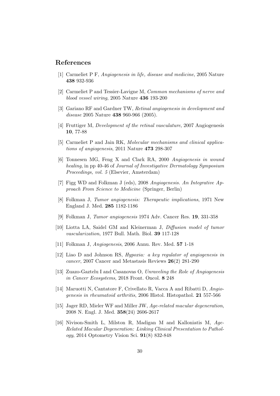### References

- <span id="page-30-0"></span>[1] Carmeliet P F, Angiogenesis in life, disease and medicine, 2005 Nature 438 932-936
- <span id="page-30-1"></span>[2] Carmeliet P and Tessier-Lavigne M, Common mechanisms of nerve and blood vessel wiring, 2005 Nature 436 193-200
- <span id="page-30-2"></span>[3] Gariano RF and Gardner TW, Retinal angiogenesis in development and disease 2005 Nature **438** 960-966 (2005).
- <span id="page-30-3"></span>[4] Fruttiger M, Development of the retinal vasculature, 2007 Angiogenesis 10, 77-88
- <span id="page-30-5"></span>[5] Carmeliet P and Jain RK, Molecular mechanisms and clinical applications of angiogenesis, 2011 Nature 473 298-307
- <span id="page-30-6"></span>[6] Tonnesen MG, Feng X and Clark RA, 2000 Angiogenesis in wound healing, in pp 40-46 of Journal of Investigative Dermatology Symposium Proceedings, vol. 5 (Elsevier, Amsterdam)
- <span id="page-30-4"></span>[7] Figg WD and Folkman J (eds), 2008 Angiogenesis. An Integrative Approach From Science to Medicine (Springer, Berlin)
- <span id="page-30-7"></span>[8] Folkman J, Tumor angiogenesis: Therapeutic implications, 1971 New England J. Med. 285 1182-1186
- <span id="page-30-8"></span>[9] Folkman J, Tumor angiogenesis 1974 Adv. Cancer Res. 19, 331-358
- <span id="page-30-9"></span>[10] Liotta LA, Saidel GM and Kleinerman J, Diffusion model of tumor vascularization, 1977 Bull. Math. Biol. 39 117-128
- <span id="page-30-10"></span>[11] Folkman J, Angiogenesis, 2006 Annu. Rev. Med. 57 1-18
- <span id="page-30-11"></span>[12] Liao D and Johnson RS, Hypoxia: a key regulator of angiogenesis in cancer, 2007 Cancer and Metastasis Reviews 26(2) 281-290
- <span id="page-30-12"></span>[13] Zuazo-Gaztelu I and Casanovas O, Unraveling the Role of Angiogenesis in Cancer Ecosystems, 2018 Front. Oncol. 8 248
- <span id="page-30-13"></span>[14] Maruotti N, Cantatore F, Crivellato R, Vacca A and Ribatti D, Angiogenesis in rheumatoid arthritis, 2006 Histol. Histopathol. 21 557-566
- <span id="page-30-14"></span>[15] Jager RD, Mieler WF and Miller JW, Age-related macular degeneration, 2008 N. Engl. J. Med. 358(24) 2606-2617
- <span id="page-30-15"></span>[16] Nivison-Smith L, Milston R, Madigan M and Kalloniatis M, Age-Related Macular Degeneration: Linking Clinical Presentation to Pathology, 2014 Optometry Vision Sci. 91(8) 832-848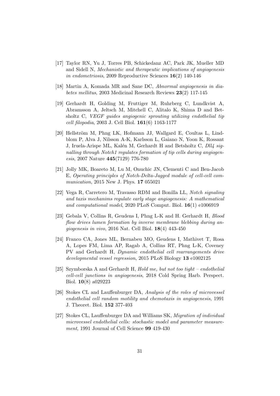- <span id="page-31-0"></span>[17] Taylor RN, Yu J, Torres PB, Schickedanz AC, Park JK, Mueller MD and Sidell N, Mechanistic and therapeutic implications of angiogenesis in endometriosis, 2009 Reproductive Sciences 16(2) 140-146
- <span id="page-31-1"></span>[18] Martin A, Komada MR and Sane DC, Abnormal angiogenesis in diabetes mellitus, 2003 Medicinal Research Reviews 23(2) 117-145
- <span id="page-31-2"></span>[19] Gerhardt H, Golding M, Fruttiger M, Ruhrberg C, Lundkvist A, Abramsson A, Jeltsch M, Mitchell C, Alitalo K, Shima D and Betsholtz C, VEGF guides angiogenic sprouting utilizing endothelial tip cell filopodia, 2003 J. Cell Biol. 161(6) 1163-1177
- <span id="page-31-3"></span>[20] Hellström M, Phng LK, Hofmann JJ, Wallgard E, Coultas L, Lindblom P, Alva J, Nilsson A-K, Karlsson L, Gaiano N, Yoon K, Rossant J, Iruela-Arispe ML, Kalén M, Gerhardt H and Betsholtz C, Dll4 signalling through Notch1 regulates formation of tip cells during angiogenesis, 2007 Nature 445(7129) 776-780
- <span id="page-31-4"></span>[21] Jolly MK, Boareto M, Lu M, Onuchic JN, Clementi C and Ben-Jacob E, Operating principles of Notch-Delta-Jagged module of cell-cell communication, 2015 New J. Phys. 17 055021
- <span id="page-31-5"></span>[22] Vega R, Carretero M, Travasso RDM and Bonilla LL, Notch signaling and taxis mechanims regulate early stage angiogenesis: A mathematical and computational model, 2020 PLoS Comput. Biol. 16(1) e1006919
- <span id="page-31-6"></span>[23] Gebala V, Collins R, Geudens I, Phng L-K and H. Gerhardt H, Blood flow drives lumen formation by inverse membrane blebbing during angiogenesis in vivo, 2016 Nat. Cell Biol. 18(4) 443-450
- <span id="page-31-7"></span>[24] Franco CA, Jones ML, Bernabeu MO, Geudens I, Mathivet T, Rosa A, Lopes FM, Lima AP, Ragab A, Collins RT, Phng L-K, Coveney PV and Gerhardt H, Dynamic endothelial cell rearrangements drive developmental vessel regression, 2015 PLoS Biology 13 e1002125
- <span id="page-31-8"></span>[25] Szymborska A and Gerhardt H, Hold me, but not too tight – endothelial cell-cell junctions in angiogenesis, 2018 Cold Spring Harb. Perspect. Biol. 10(8) a029223
- <span id="page-31-9"></span>[26] Stokes CL and Lauffenburger DA, Analysis of the roles of microvessel endothelial cell random motility and chemotaxis in angiogenesis, 1991 J. Theoret. Biol. 152 377-403
- <span id="page-31-10"></span>[27] Stokes CL, Lauffenburger DA and Williams SK, Migration of individual microvessel endothelial cells: stochastic model and parameter measurement, 1991 Journal of Cell Science 99 419-430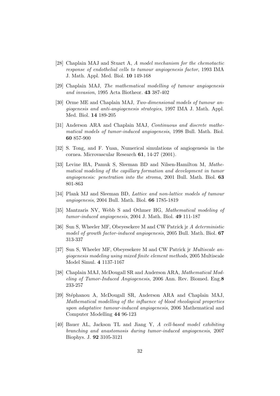- <span id="page-32-0"></span>[28] Chaplain MAJ and Stuart A, A model mechanism for the chemotactic response of endothelial cells to tumour angiogenesis factor, 1993 IMA J. Math. Appl. Med. Biol. 10 149-168
- <span id="page-32-1"></span>[29] Chaplain MAJ, The mathematical modelling of tumour angiogenesis and invasion, 1995 Acta Biotheor. 43 387-402
- <span id="page-32-2"></span>[30] Orme ME and Chaplain MAJ, Two-dimensional models of tumour angiogenesis and anti-angiogenesis strategies, 1997 IMA J. Math. Appl. Med. Biol. 14 189-205
- <span id="page-32-3"></span>[31] Anderson ARA and Chaplain MAJ, Continuous and discrete mathematical models of tumor-induced angiogenesis, 1998 Bull. Math. Biol. 60 857-900
- <span id="page-32-4"></span>[32] S. Tong, and F. Yuan, Numerical simulations of angiogenesis in the cornea. Microvascular Research 61, 14-27 (2001).
- <span id="page-32-5"></span>[33] Levine HA, Pamuk S, Sleeman BD and Nilsen-Hamilton M, Mathematical modeling of the capillary formation and development in tumor angiogenesis: penetration into the stroma, 2001 Bull. Math. Biol. 63 801-863
- <span id="page-32-6"></span>[34] Plank MJ and Sleeman BD, Lattice and non-lattice models of tumour angiogenesis, 2004 Bull. Math. Biol. 66 1785-1819
- <span id="page-32-7"></span>[35] Mantzaris NV, Webb S and Othmer HG, Mathematical modeling of tumor-induced angiogenesis, 2004 J. Math. Biol. 49 111-187
- <span id="page-32-8"></span>[36] Sun S, Wheeler MF, Obeyesekere M and CW Patrick jr A deterministic model of growth factor-induced angiogenesis, 2005 Bull. Math. Biol. 67 313-337
- <span id="page-32-9"></span>[37] Sun S, Wheeler MF, Obeyesekere M and CW Patrick jr Multiscale angiogenesis modeling using mixed finite element methods, 2005 Multiscale Model Simul. 4 1137-1167
- <span id="page-32-10"></span>[38] Chaplain MAJ, McDougall SR and Anderson ARA, Mathematical Modeling of Tumor-Induced Angiogenesis, 2006 Ann. Rev. Biomed. Eng.8 233-257
- <span id="page-32-11"></span>[39] Stéphanou A, McDougall SR, Anderson ARA and Chaplain MAJ, Mathematical modelling of the influence of blood rheological properties upon adaptative tumour-induced angiogenesis, 2006 Mathematical and Computer Modelling 44 96-123
- <span id="page-32-12"></span>[40] Bauer AL, Jackson TL and Jiang Y, A cell-based model exhibiting branching and anastomosis during tumor-induced angiogenesis, 2007 Biophys. J. 92 3105-3121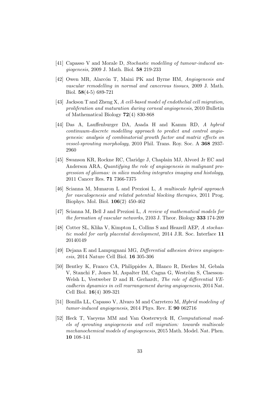- <span id="page-33-0"></span>[41] Capasso V and Morale D, Stochastic modelling of tumour-induced angiogenesis, 2009 J. Math. Biol. 58 219-233
- <span id="page-33-1"></span>[42] Owen MR, Alarcón T, Maini PK and Byrne HM, Angiogenesis and vascular remodelling in normal and cancerous tissues, 2009 J. Math. Biol. 58(4-5) 689-721
- <span id="page-33-2"></span>[43] Jackson T and Zheng X, A cell-based model of endothelial cell migration, proliferation and maturation during corneal angiogenesis, 2010 Bulletin of Mathematical Biology 72(4) 830-868
- <span id="page-33-3"></span>[44] Das A, Lauffenburger DA, Asada H and Kamm RD, A hybrid continuum-discrete modelling approach to predict and control angiogenesis: analysis of combinatorial growth factor and matrix effects on vessel-sprouting morphology, 2010 Phil. Trans. Roy. Soc. A 368 2937- 2960
- <span id="page-33-4"></span>[45] Swanson KR, Rockne RC, Claridge J, Chaplain MJ, Alvord Jr EC and Anderson ARA, Quantifying the role of angiogenesis in malignant progression of gliomas: in silico modeling integrates imaging and histology, 2011 Cancer Res. 71 7366-7375
- <span id="page-33-5"></span>[46] Scianna M, Munaron L and Preziosi L, A multiscale hybrid approach for vasculogenesis and related potential blocking therapies, 2011 Prog. Biophys. Mol. Biol. 106(2) 450-462
- <span id="page-33-6"></span>[47] Scianna M, Bell J and Preziosi L, A review of mathematical models for the formation of vascular networks, 2103 J. Theor. Biology 333 174-209
- <span id="page-33-7"></span>[48] Cotter SL, Klika V, Kimpton L, Collins S and Heazell AEP, A stochastic model for early placental development, 2014 J.R. Soc. Interface 11 20140149
- <span id="page-33-8"></span>[49] Dejana E and Lampugnani MG, *Differential adhesion drives angiogen*esis, 2014 Nature Cell Biol. 16 305-306
- <span id="page-33-9"></span>[50] Bentley K, Franco CA, Philippides A, Blanco R, Dierkes M, Gebala V, Stanchi F, Jones M, Aspalter IM, Cagna G, Weström S, Claesson-Welsh L, Vestweber D and H. Gerhardt, *The role of differential VE*cadherin dynamics in cell rearrangement during angiogenesis, 2014 Nat. Cell Biol. 16(4) 309-321
- <span id="page-33-10"></span>[51] Bonilla LL, Capasso V, Alvaro M and Carretero M, Hybrid modeling of tumor-induced angiogenesis, 2014 Phys. Rev. E 90 062716
- <span id="page-33-11"></span>[52] Heck T, Vaeyens MM and Van Oosterwyck H, Computational models of sprouting angiogenesis and cell migration: towards multiscale mechanochemical models of angiogenesis, 2015 Math. Model. Nat. Phen. 10 108-141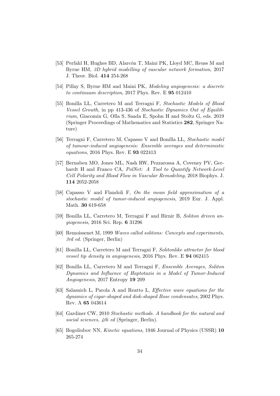- <span id="page-34-0"></span>[53] Perfahl H, Hughes BD, Alarcón T, Maini PK, Lloyd MC, Reuss M and Byrne HM, 3D hybrid modelling of vascular network formation, 2017 J. Theor. Biol. 414 254-268
- <span id="page-34-1"></span>[54] Pillay S, Byrne HM and Maini PK, Modeling angiogenesis: a discrete to continuum description, 2017 Phys. Rev. E 95 012410
- <span id="page-34-2"></span>[55] Bonilla LL, Carretero M and Terragni F, Stochastic Models of Blood Vessel Growth, in pp 413-436 of Stochastic Dynamics Out of Equilibrium, Giacomin G, Olla S, Saada E, Spohn H and Stoltz G, eds. 2019 (Springer Proceedings of Mathematics and Statistics 282, Springer Nature)
- <span id="page-34-3"></span>[56] Terragni F, Carretero M, Capasso V and Bonilla LL, Stochastic model of tumour-induced angiogenesis: Ensemble averages and deterministic equations, 2016 Phys. Rev. E 93 022413
- <span id="page-34-4"></span>[57] Bernabeu MO, Jones ML, Nash RW, Pezzarossa A, Coveney PV, Gerhardt H and Franco CA, PolNet: A Tool to Quantify Network-Level Cell Polarity and Blood Flow in Vascular Remodeling, 2018 Biophys. J. 114 2052-2058
- <span id="page-34-5"></span>[58] Capasso V and Flandoli F, On the mean field approximation of a stochastic model of tumor-induced angiogenesis, 2019 Eur. J. Appl. Math. 30 619-658
- <span id="page-34-6"></span>[59] Bonilla LL, Carretero M, Terragni F and Birnir B, Soliton driven angiogenesis, 2016 Sci. Rep. 6 31296
- <span id="page-34-7"></span>[60] Remoissenet M, 1999 Waves called solitons: Concepts and experiments, 3rd ed. (Springer, Berlin)
- <span id="page-34-8"></span>[61] Bonilla LL, Carretero M and Terragni F, Solitonlike attractor for blood vessel tip density in angiogenesis, 2016 Phys. Rev. E 94 062415
- <span id="page-34-9"></span>[62] Bonilla LL, Carretero M and Terragni F, Ensemble Averages, Soliton Dynamics and Influence of Haptotaxis in a Model of Tumor-Induced Angiogenesis, 2017 Entropy 19 209
- <span id="page-34-10"></span>[63] Salasnich L, Parola A and Reatto L, Effective wave equations for the dynamics of cigar-shaped and disk-shaped Bose condensates, 2002 Phys. Rev. A 65 043614
- <span id="page-34-11"></span>[64] Gardiner CW, 2010 Stochastic methods. A handbook for the natural and social sciences, 4th ed (Springer, Berlin).
- <span id="page-34-12"></span>[65] Bogoliubov NN, Kinetic equations, 1946 Journal of Physics (USSR) 10 265-274